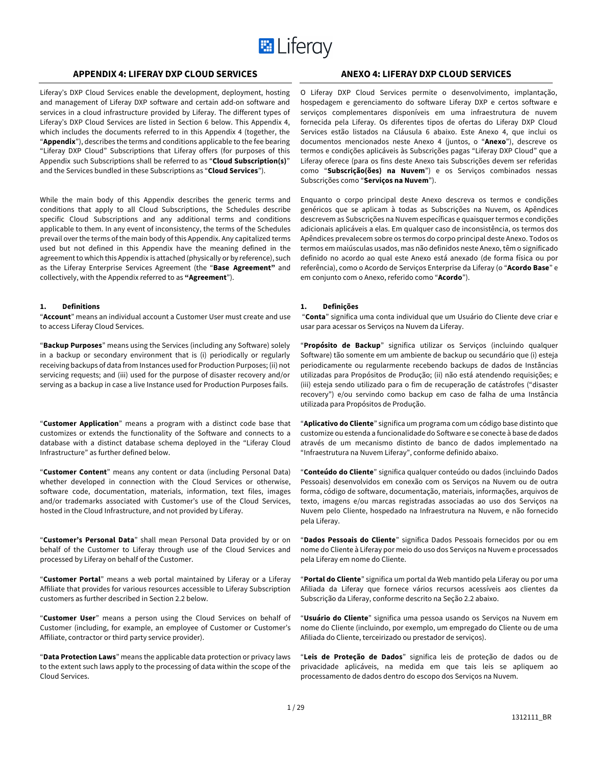

# **APPENDIX 4: LIFERAY DXP CLOUD SERVICES ANEXO 4: LIFERAY DXP CLOUD SERVICES**

Liferay's DXP Cloud Services enable the development, deployment, hosting and management of Liferay DXP software and certain add-on software and services in a cloud infrastructure provided by Liferay. The different types of Liferay's DXP Cloud Services are listed in Section 6 below. This Appendix 4, which includes the documents referred to in this Appendix 4 (together, the "**Appendix**"), describes the terms and conditions applicable to the fee bearing "Liferay DXP Cloud" Subscriptions that Liferay offers (for purposes of this Appendix such Subscriptions shall be referred to as "**Cloud Subscription(s)**" and the Services bundled in these Subscriptions as "**Cloud Services**").

While the main body of this Appendix describes the generic terms and conditions that apply to all Cloud Subscriptions, the Schedules describe specific Cloud Subscriptions and any additional terms and conditions applicable to them. In any event of inconsistency, the terms of the Schedules prevail over the terms of the main body of this Appendix. Any capitalized terms used but not defined in this Appendix have the meaning defined in the agreement to which this Appendix is attached (physically or by reference), such as the Liferay Enterprise Services Agreement (the "**Base Agreement"** and collectively, with the Appendix referred to as **"Agreement**").

#### **1. Definitions**

"**Account**" means an individual account a Customer User must create and use to access Liferay Cloud Services.

"**Backup Purposes**" means using the Services (including any Software) solely in a backup or secondary environment that is (i) periodically or regularly receiving backups of data from Instances used for Production Purposes; (ii) not servicing requests; and (iii) used for the purpose of disaster recovery and/or serving as a backup in case a live Instance used for Production Purposes fails.

"**Customer Application**" means a program with a distinct code base that customizes or extends the functionality of the Software and connects to a database with a distinct database schema deployed in the "Liferay Cloud Infrastructure" as further defined below.

"**Customer Content**" means any content or data (including Personal Data) whether developed in connection with the Cloud Services or otherwise, software code, documentation, materials, information, text files, images and/or trademarks associated with Customer's use of the Cloud Services, hosted in the Cloud Infrastructure, and not provided by Liferay.

"**Customer's Personal Data**" shall mean Personal Data provided by or on behalf of the Customer to Liferay through use of the Cloud Services and processed by Liferay on behalf of the Customer.

"**Customer Portal**" means a web portal maintained by Liferay or a Liferay Affiliate that provides for various resources accessible to Liferay Subscription customers as further described in Section 2.2 below.

"**Customer User**" means a person using the Cloud Services on behalf of Customer (including, for example, an employee of Customer or Customer's Affiliate, contractor or third party service provider).

"**Data Protection Laws**" means the applicable data protection or privacy laws to the extent such laws apply to the processing of data within the scope of the Cloud Services.

O Liferay DXP Cloud Services permite o desenvolvimento, implantação, hospedagem e gerenciamento do software Liferay DXP e certos software e serviços complementares disponíveis em uma infraestrutura de nuvem fornecida pela Liferay. Os diferentes tipos de ofertas do Liferay DXP Cloud Services estão listados na Cláusula 6 abaixo. Este Anexo 4, que inclui os documentos mencionados neste Anexo 4 (juntos, o "**Anexo**"), descreve os termos e condições aplicáveis às Subscrições pagas "Liferay DXP Cloud" que a Liferay oferece (para os fins deste Anexo tais Subscrições devem ser referidas como "**Subscrição(ões) na Nuvem**") e os Serviços combinados nessas Subscrições como "**Serviços na Nuvem**").

Enquanto o corpo principal deste Anexo descreva os termos e condições genéricos que se aplicam à todas as Subscrições na Nuvem, os Apêndices descrevem as Subscrições na Nuvem específicas e quaisquer termos e condições adicionais aplicáveis a elas. Em qualquer caso de inconsistência, os termos dos Apêndices prevalecem sobre os termos do corpo principal deste Anexo. Todos os termos em maiúsculas usados, mas não definidos neste Anexo, têm o significado definido no acordo ao qual este Anexo está anexado (de forma física ou por referência), como o Acordo de Serviços Enterprise da Liferay (o "**Acordo Base**" e em conjunto com o Anexo, referido como "**Acordo**").

#### **1. Definições**

"**Conta**" significa uma conta individual que um Usuário do Cliente deve criar e usar para acessar os Serviços na Nuvem da Liferay.

"**Propósito de Backup**" significa utilizar os Serviços (incluindo qualquer Software) tão somente em um ambiente de backup ou secundário que (i) esteja periodicamente ou regularmente recebendo backups de dados de Instâncias utilizadas para Propósitos de Produção; (ii) não está atendendo requisições; e (iii) esteja sendo utilizado para o fim de recuperação de catástrofes ("disaster recovery") e/ou servindo como backup em caso de falha de uma Instância utilizada para Propósitos de Produção.

"**Aplicativo do Cliente**" significa um programa com um código base distinto que customize ou estenda a funcionalidade do Software e se conecte à base de dados através de um mecanismo distinto de banco de dados implementado na "Infraestrutura na Nuvem Liferay", conforme definido abaixo.

"**Conteúdo do Cliente**" significa qualquer conteúdo ou dados (incluindo Dados Pessoais) desenvolvidos em conexão com os Serviços na Nuvem ou de outra forma, código de software, documentação, materiais, informações, arquivos de texto, imagens e/ou marcas registradas associadas ao uso dos Serviços na Nuvem pelo Cliente, hospedado na Infraestrutura na Nuvem, e não fornecido pela Liferay.

"**Dados Pessoais do Cliente**" significa Dados Pessoais fornecidos por ou em nome do Cliente à Liferay por meio do uso dos Serviços na Nuvem e processados pela Liferay em nome do Cliente.

"**Portal do Cliente**" significa um portal da Web mantido pela Liferay ou por uma Afiliada da Liferay que fornece vários recursos acessíveis aos clientes da Subscrição da Liferay, conforme descrito na Seção 2.2 abaixo.

"**Usuário do Cliente**" significa uma pessoa usando os Serviços na Nuvem em nome do Cliente (incluindo, por exemplo, um empregado do Cliente ou de uma Afiliada do Cliente, terceirizado ou prestador de serviços).

"**Leis de Proteção de Dados**" significa leis de proteção de dados ou de privacidade aplicáveis, na medida em que tais leis se apliquem ao processamento de dados dentro do escopo dos Serviços na Nuvem.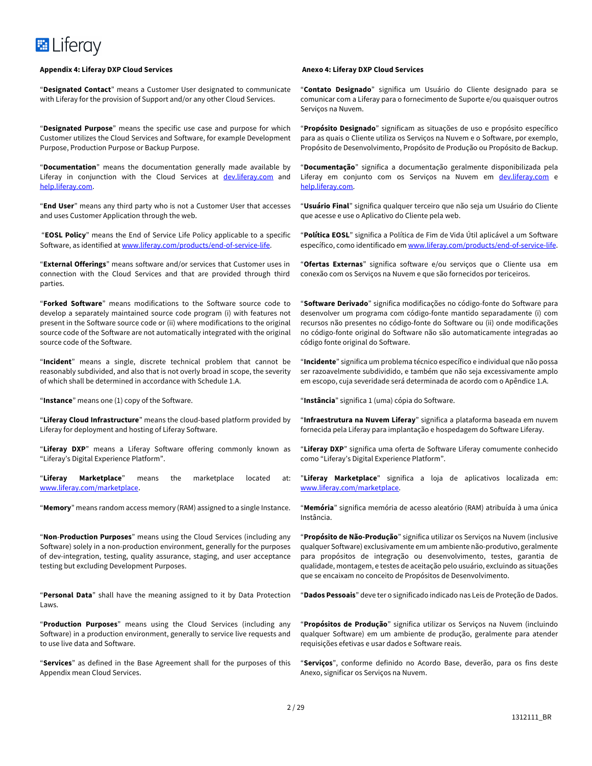#### **Appendix 4: Liferay DXP Cloud Services Anexo 4: Liferay DXP Cloud Services**

"**Designated Contact**" means a Customer User designated to communicate with Liferay for the provision of Support and/or any other Cloud Services.

"**Designated Purpose**" means the specific use case and purpose for which Customer utilizes the Cloud Services and Software, for example Development Purpose, Production Purpose or Backup Purpose.

"**Documentation**" means the documentation generally made available by Liferay in conjunction with the Cloud Services at dev.liferay.com and help.liferay.com.

"**End User**" means any third party who is not a Customer User that accesses and uses Customer Application through the web.

"**EOSL Policy**" means the End of Service Life Policy applicable to a specific Software, as identified at www.liferay.com/products/end-of-service-life.

"**External Offerings**" means software and/or services that Customer uses in connection with the Cloud Services and that are provided through third parties.

"**Forked Software**" means modifications to the Software source code to develop a separately maintained source code program (i) with features not present in the Software source code or (ii) where modifications to the original source code of the Software are not automatically integrated with the original source code of the Software.

"**Incident**" means a single, discrete technical problem that cannot be reasonably subdivided, and also that is not overly broad in scope, the severity of which shall be determined in accordance with Schedule 1.A.

"**Instance**" means one (1) copy of the Software.

"**Liferay Cloud Infrastructure**" means the cloud-based platform provided by Liferay for deployment and hosting of Liferay Software.

"**Liferay DXP**" means a Liferay Software offering commonly known as "Liferay's Digital Experience Platform".

"**Liferay Marketplace**" means the marketplace located at: www.liferay.com/marketplace.

"**Memory**" means random access memory (RAM) assigned to a single Instance.

"**Non**-**Production Purposes**" means using the Cloud Services (including any Software) solely in a non-production environment, generally for the purposes of dev-integration, testing, quality assurance, staging, and user acceptance testing but excluding Development Purposes.

"**Personal Data**" shall have the meaning assigned to it by Data Protection Laws.

"**Production Purposes**" means using the Cloud Services (including any Software) in a production environment, generally to service live requests and to use live data and Software.

"**Services**" as defined in the Base Agreement shall for the purposes of this Appendix mean Cloud Services.

"**Contato Designado**" significa um Usuário do Cliente designado para se comunicar com a Liferay para o fornecimento de Suporte e/ou quaisquer outros Serviços na Nuvem.

"**Propósito Designado**" significam as situações de uso e propósito específico para as quais o Cliente utiliza os Serviços na Nuvem e o Software, por exemplo, Propósito de Desenvolvimento, Propósito de Produção ou Propósito de Backup.

"**Documentação**" significa a documentação geralmente disponibilizada pela Liferay em conjunto com os Serviços na Nuvem em dev.liferay.com e help.liferay.com.

"**Usuário Final**" significa qualquer terceiro que não seja um Usuário do Cliente que acesse e use o Aplicativo do Cliente pela web.

"**Política EOSL**" significa a Política de Fim de Vida Útil aplicável a um Software específico, como identificado em www.liferay.com/products/end-of-service-life.

"**Ofertas Externas**" significa software e/ou serviços que o Cliente usa em conexão com os Serviços na Nuvem e que são fornecidos por tericeiros.

"**Software Derivado**" significa modificações no código-fonte do Software para desenvolver um programa com código-fonte mantido separadamente (i) com recursos não presentes no código-fonte do Software ou (ii) onde modificações no código-fonte original do Software não são automaticamente integradas ao código fonte original do Software.

"**Incidente**" significa um problema técnico específico e individual que não possa ser razoavelmente subdividido, e também que não seja excessivamente amplo em escopo, cuja severidade será determinada de acordo com o Apêndice 1.A.

"**Instância**" significa 1 (uma) cópia do Software.

"**Infraestrutura na Nuvem Liferay**" significa a plataforma baseada em nuvem fornecida pela Liferay para implantação e hospedagem do Software Liferay.

"**Liferay DXP**" significa uma oferta de Software Liferay comumente conhecido como "Liferay's Digital Experience Platform".

"**Liferay Marketplace**" significa a loja de aplicativos localizada em: www.liferay.com/marketplace.

"**Memória**" significa memória de acesso aleatório (RAM) atribuída à uma única Instância.

"**Propósito de Não-Produção**" significa utilizar os Serviços na Nuvem (inclusive qualquer Software) exclusivamente em um ambiente não-produtivo, geralmente para propósitos de integração ou desenvolvimento, testes, garantia de qualidade, montagem, e testes de aceitação pelo usuário, excluindo as situações que se encaixam no conceito de Propósitos de Desenvolvimento.

"**Dados Pessoais**" deve ter o significado indicado nas Leis de Proteção de Dados.

"**Propósitos de Produção**" significa utilizar os Serviços na Nuvem (incluindo qualquer Software) em um ambiente de produção, geralmente para atender requisições efetivas e usar dados e Software reais.

"**Serviços**", conforme definido no Acordo Base, deverão, para os fins deste Anexo, significar os Serviços na Nuvem.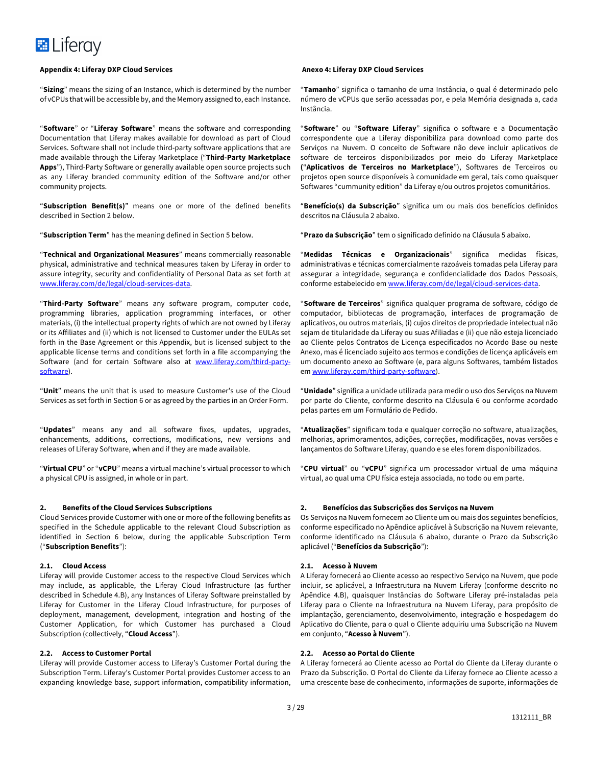#### **Appendix 4: Liferay DXP Cloud Services Anexo 4: Liferay DXP Cloud Services**

"**Sizing**" means the sizing of an Instance, which is determined by the number of vCPUs that will be accessible by, and the Memory assigned to, each Instance.

"**Software**" or "**Liferay Software**" means the software and corresponding Documentation that Liferay makes available for download as part of Cloud Services. Software shall not include third-party software applications that are made available through the Liferay Marketplace ("**Third-Party Marketplace Apps**"), Third-Party Software or generally available open source projects such as any Liferay branded community edition of the Software and/or other community projects.

"**Subscription Benefit(s)**" means one or more of the defined benefits described in Section 2 below.

"**Subscription Term**" has the meaning defined in Section 5 below.

"**Technical and Organizational Measures**" means commercially reasonable physical, administrative and technical measures taken by Liferay in order to assure integrity, security and confidentiality of Personal Data as set forth at www.liferay.com/de/legal/cloud-services-data.

"**Third-Party Software**" means any software program, computer code, programming libraries, application programming interfaces, or other materials, (i) the intellectual property rights of which are not owned by Liferay or its Affiliates and (ii) which is not licensed to Customer under the EULAs set forth in the Base Agreement or this Appendix, but is licensed subject to the applicable license terms and conditions set forth in a file accompanying the Software (and for certain Software also at www.liferay.com/third-partysoftware).

"**Unit**" means the unit that is used to measure Customer's use of the Cloud Services as set forth in Section 6 or as agreed by the parties in an Order Form.

"**Updates**" means any and all software fixes, updates, upgrades, enhancements, additions, corrections, modifications, new versions and releases of Liferay Software, when and if they are made available.

"**Virtual CPU**" or "**vCPU**" means a virtual machine's virtual processor to which a physical CPU is assigned, in whole or in part.

#### **2. Benefits of the Cloud Services Subscriptions**

Cloud Services provide Customer with one or more of the following benefits as specified in the Schedule applicable to the relevant Cloud Subscription as identified in Section 6 below, during the applicable Subscription Term ("**Subscription Benefits**"):

#### **2.1. Cloud Access**

Liferay will provide Customer access to the respective Cloud Services which may include, as applicable, the Liferay Cloud Infrastructure (as further described in Schedule 4.B), any Instances of Liferay Software preinstalled by Liferay for Customer in the Liferay Cloud Infrastructure, for purposes of deployment, management, development, integration and hosting of the Customer Application, for which Customer has purchased a Cloud Subscription (collectively, "**Cloud Access**").

#### **2.2. Access to Customer Portal**

Liferay will provide Customer access to Liferay's Customer Portal during the Subscription Term. Liferay's Customer Portal provides Customer access to an expanding knowledge base, support information, compatibility information,

"**Tamanho**" significa o tamanho de uma Instância, o qual é determinado pelo número de vCPUs que serão acessadas por, e pela Memória designada a, cada Instância.

"**Software**" ou "**Software Liferay**" significa o software e a Documentação correspondente que a Liferay disponibiliza para download como parte dos Serviços na Nuvem. O conceito de Software não deve incluir aplicativos de software de terceiros disponibilizados por meio do Liferay Marketplace **(**"**Aplicativos de Terceiros no Marketplace**"), Softwares de Terceiros ou projetos open source disponíveis à comunidade em geral, tais como quaisquer Softwares "cummunity edition" da Liferay e/ou outros projetos comunitários.

"**Benefício(s) da Subscrição**" significa um ou mais dos benefícios definidos descritos na Cláusula 2 abaixo.

"**Prazo da Subscrição**" tem o significado definido na Cláusula 5 abaixo.

"**Medidas Técnicas e Organizacionais**" significa medidas físicas, administrativas e técnicas comercialmente razoáveis tomadas pela Liferay para assegurar a integridade, segurança e confidencialidade dos Dados Pessoais, conforme estabelecido em www.liferay.com/de/legal/cloud-services-data.

"**Software de Terceiros**" significa qualquer programa de software, código de computador, bibliotecas de programação, interfaces de programação de aplicativos, ou outros materiais, (i) cujos direitos de propriedade intelectual não sejam de titularidade da Liferay ou suas Afiliadas e (ii) que não esteja licenciado ao Cliente pelos Contratos de Licença especificados no Acordo Base ou neste Anexo, mas é licenciado sujeito aos termos e condições de licença aplicáveis em um documento anexo ao Software (e, para alguns Softwares, também listados em www.liferay.com/third-party-software).

"**Unidade**" significa a unidade utilizada para medir o uso dos Serviços na Nuvem por parte do Cliente, conforme descrito na Cláusula 6 ou conforme acordado pelas partes em um Formulário de Pedido.

"**Atualizações**" significam toda e qualquer correção no software, atualizações, melhorias, aprimoramentos, adições, correções, modificações, novas versões e lançamentos do Software Liferay, quando e se eles forem disponibilizados.

"**CPU virtual**" ou "**vCPU**" significa um processador virtual de uma máquina virtual, ao qual uma CPU física esteja associada, no todo ou em parte.

#### **2. Benefícios das Subscrições dos Serviços na Nuvem**

Os Serviços na Nuvem fornecem ao Cliente um ou mais dos seguintes benefícios, conforme especificado no Apêndice aplicável à Subscrição na Nuvem relevante, conforme identificado na Cláusula 6 abaixo, durante o Prazo da Subscrição aplicável ("**Benefícios da Subscrição**"):

#### **2.1. Acesso à Nuvem**

A Liferay fornecerá ao Cliente acesso ao respectivo Serviço na Nuvem, que pode incluir, se aplicável, a Infraestrutura na Nuvem Liferay (conforme descrito no Apêndice 4.B), quaisquer Instâncias do Software Liferay pré-instaladas pela Liferay para o Cliente na Infraestrutura na Nuvem Liferay, para propósito de implantação, gerenciamento, desenvolvimento, integração e hospedagem do Aplicativo do Cliente, para o qual o Cliente adquiriu uma Subscrição na Nuvem em conjunto, "**Acesso à Nuvem**").

### **2.2. Acesso ao Portal do Cliente**

A Liferay fornecerá ao Cliente acesso ao Portal do Cliente da Liferay durante o Prazo da Subscrição. O Portal do Cliente da Liferay fornece ao Cliente acesso a uma crescente base de conhecimento, informações de suporte, informações de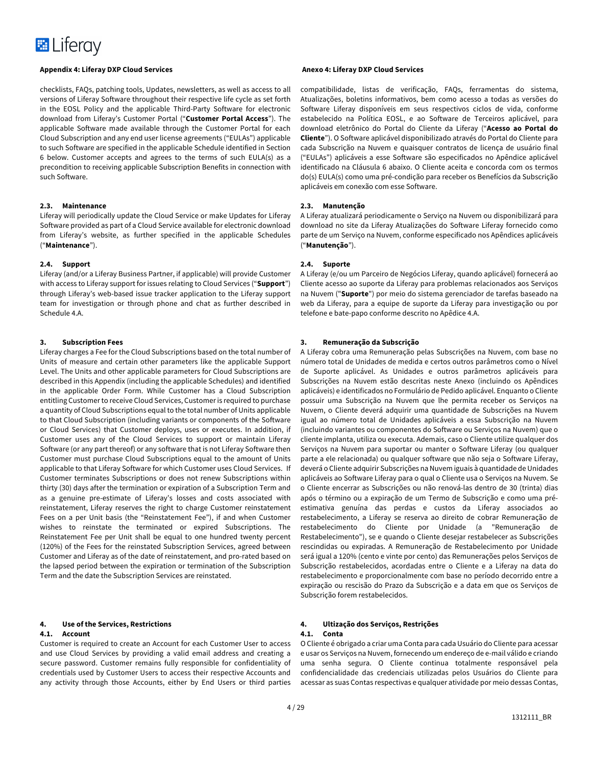#### **Appendix 4: Liferay DXP Cloud Services Anexo 4: Liferay DXP Cloud Services**

checklists, FAQs, patching tools, Updates, newsletters, as well as access to all versions of Liferay Software throughout their respective life cycle as set forth in the EOSL Policy and the applicable Third-Party Software for electronic download from Liferay's Customer Portal ("**Customer Portal Access**"). The applicable Software made available through the Customer Portal for each Cloud Subscription and any end user license agreements ("EULAs") applicable to such Software are specified in the applicable Schedule identified in Section 6 below. Customer accepts and agrees to the terms of such EULA(s) as a precondition to receiving applicable Subscription Benefits in connection with such Software.

#### **2.3. Maintenance**

Liferay will periodically update the Cloud Service or make Updates for Liferay Software provided as part of a Cloud Service available for electronic download from Liferay's website, as further specified in the applicable Schedules ("**Maintenance**").

#### **2.4. Support**

Liferay (and/or a Liferay Business Partner, if applicable) will provide Customer with access to Liferay support for issues relating to Cloud Services ("**Support**") through Liferay's web-based issue tracker application to the Liferay support team for investigation or through phone and chat as further described in Schedule 4.A.

### **3. Subscription Fees**

Liferay charges a Fee for the Cloud Subscriptions based on the total number of Units of measure and certain other parameters like the applicable Support Level. The Units and other applicable parameters for Cloud Subscriptions are described in this Appendix (including the applicable Schedules) and identified in the applicable Order Form. While Customer has a Cloud Subscription entitling Customer to receive Cloud Services, Customer is required to purchase a quantity of Cloud Subscriptions equal to the total number of Units applicable to that Cloud Subscription (including variants or components of the Software or Cloud Services) that Customer deploys, uses or executes. In addition, if Customer uses any of the Cloud Services to support or maintain Liferay Software (or any part thereof) or any software that is not Liferay Software then Customer must purchase Cloud Subscriptions equal to the amount of Units applicable to that Liferay Software for which Customer uses Cloud Services. If Customer terminates Subscriptions or does not renew Subscriptions within thirty (30) days after the termination or expiration of a Subscription Term and as a genuine pre-estimate of Liferay's losses and costs associated with reinstatement, Liferay reserves the right to charge Customer reinstatement Fees on a per Unit basis (the "Reinstatement Fee"), if and when Customer wishes to reinstate the terminated or expired Subscriptions. The Reinstatement Fee per Unit shall be equal to one hundred twenty percent (120%) of the Fees for the reinstated Subscription Services, agreed between Customer and Liferay as of the date of reinstatement, and pro-rated based on the lapsed period between the expiration or termination of the Subscription Term and the date the Subscription Services are reinstated.

# **4. Use of the Services, Restrictions**

#### **4.1. Account**

Customer is required to create an Account for each Customer User to access and use Cloud Services by providing a valid email address and creating a secure password. Customer remains fully responsible for confidentiality of credentials used by Customer Users to access their respective Accounts and any activity through those Accounts, either by End Users or third parties

compatibilidade, listas de verificação, FAQs, ferramentas do sistema, Atualizações, boletins informativos, bem como acesso a todas as versões do Software Liferay disponíveis em seus respectivos ciclos de vida, conforme estabelecido na Política EOSL, e ao Software de Terceiros aplicável, para download eletrônico do Portal do Cliente da Liferay ("**Acesso ao Portal do Cliente**"). O Software aplicável disponibilizado através do Portal do Cliente para cada Subscrição na Nuvem e quaisquer contratos de licença de usuário final ("EULAs") aplicáveis a esse Software são especificados no Apêndice aplicável identificado na Cláusula 6 abaixo. O Cliente aceita e concorda com os termos do(s) EULA(s) como uma pré-condição para receber os Benefícios da Subscrição aplicáveis em conexão com esse Software.

### **2.3. Manutenção**

A Liferay atualizará periodicamente o Serviço na Nuvem ou disponibilizará para download no site da Liferay Atualizações do Software Liferay fornecido como parte de um Serviço na Nuvem, conforme especificado nos Apêndices aplicáveis ("**Manutenção**").

### **2.4. Suporte**

A Liferay (e/ou um Parceiro de Negócios Liferay, quando aplicável) fornecerá ao Cliente acesso ao suporte da Liferay para problemas relacionados aos Serviços na Nuvem ("**Suporte**") por meio do sistema gerenciador de tarefas baseado na web da Liferay, para a equipe de suporte da Liferay para investigação ou por telefone e bate-papo conforme descrito no Apêdice 4.A.

### **3. Remuneração da Subscrição**

A Liferay cobra uma Remuneração pelas Subscrições na Nuvem, com base no número total de Unidades de medida e certos outros parâmetros como o Nível de Suporte aplicável. As Unidades e outros parâmetros aplicáveis para Subscrições na Nuvem estão descritas neste Anexo (incluindo os Apêndices aplicáveis) e identificados no Formulário de Pedido aplicável. Enquanto o Cliente possuir uma Subscrição na Nuvem que lhe permita receber os Serviços na Nuvem, o Cliente deverá adquirir uma quantidade de Subscrições na Nuvem igual ao número total de Unidades aplicáveis a essa Subscrição na Nuvem (incluindo variantes ou componentes do Software ou Serviços na Nuvem) que o cliente implanta, utiliza ou executa. Ademais, caso o Cliente utilize qualquer dos Serviços na Nuvem para suportar ou manter o Software Liferay (ou qualquer parte a ele relacionada) ou qualquer software que não seja o Software Liferay, deverá o Cliente adquirir Subscrições na Nuvem iguais à quantidade de Unidades aplicáveis ao Software Liferay para o qual o Cliente usa o Serviços na Nuvem. Se o Cliente encerrar as Subscrições ou não renová-las dentro de 30 (trinta) dias após o término ou a expiração de um Termo de Subscrição e como uma préestimativa genuína das perdas e custos da Liferay associados ao restabelecimento, a Liferay se reserva ao direito de cobrar Remuneração de restabelecimento do Cliente por Unidade (a "Remuneração de Restabelecimento"), se e quando o Cliente desejar restabelecer as Subscrições rescindidas ou expiradas. A Remuneração de Restabelecimento por Unidade será igual a 120% (cento e vinte por cento) das Remunerações pelos Serviços de Subscrição restabelecidos, acordadas entre o Cliente e a Liferay na data do restabelecimento e proporcionalmente com base no período decorrido entre a expiração ou rescisão do Prazo da Subscrição e a data em que os Serviços de Subscrição forem restabelecidos.

### **4. Ultização dos Serviços, Restrições**

#### **4.1. Conta**

O Cliente é obrigado a criar uma Conta para cada Usuário do Cliente para acessar e usar os Serviços na Nuvem, fornecendo um endereço de e-mail válido e criando uma senha segura. O Cliente continua totalmente responsável pela confidencialidade das credenciais utilizadas pelos Usuários do Cliente para acessar as suas Contas respectivas e qualquer atividade por meio dessas Contas,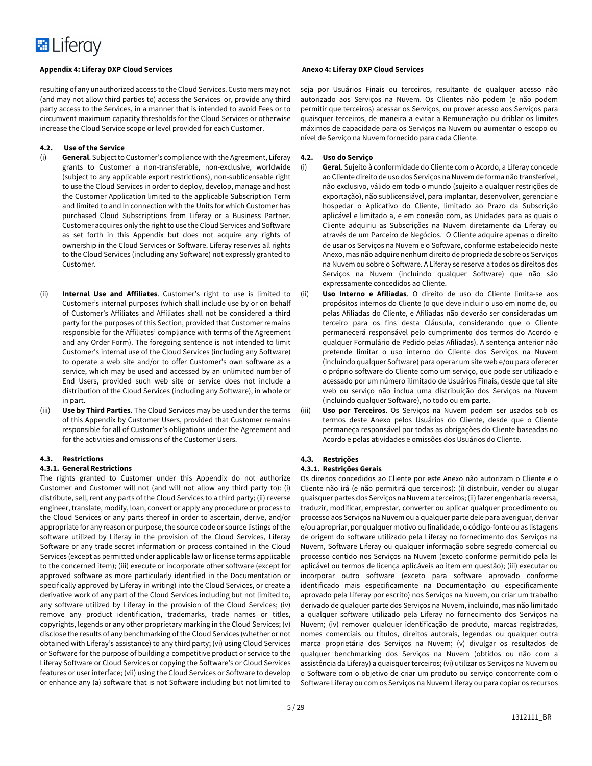

resulting of any unauthorized access to the Cloud Services. Customers may not (and may not allow third parties to) access the Services or, provide any third party access to the Services, in a manner that is intended to avoid Fees or to circumvent maximum capacity thresholds for the Cloud Services or otherwise increase the Cloud Service scope or level provided for each Customer.

#### **4.2. Use of the Service**

- (i) **General**. Subject to Customer's compliance with the Agreement, Liferay grants to Customer a non-transferable, non-exclusive, worldwide (subject to any applicable export restrictions), non-sublicensable right to use the Cloud Services in order to deploy, develop, manage and host the Customer Application limited to the applicable Subscription Term and limited to and in connection with the Units for which Customer has purchased Cloud Subscriptions from Liferay or a Business Partner. Customer acquires only the right to use the Cloud Services and Software as set forth in this Appendix but does not acquire any rights of ownership in the Cloud Services or Software. Liferay reserves all rights to the Cloud Services (including any Software) not expressly granted to Customer.
- (ii) **Internal Use and Affiliates**. Customer's right to use is limited to Customer's internal purposes (which shall include use by or on behalf of Customer's Affiliates and Affiliates shall not be considered a third party for the purposes of this Section, provided that Customer remains responsible for the Affiliates' compliance with terms of the Agreement and any Order Form). The foregoing sentence is not intended to limit Customer's internal use of the Cloud Services (including any Software) to operate a web site and/or to offer Customer's own software as a service, which may be used and accessed by an unlimited number of End Users, provided such web site or service does not include a distribution of the Cloud Services (including any Software), in whole or in part.
- (iii) **Use by Third Parties**. The Cloud Services may be used under the terms of this Appendix by Customer Users, provided that Customer remains responsible for all of Customer's obligations under the Agreement and for the activities and omissions of the Customer Users.

#### **4.3. Restrictions**

#### **4.3.1. General Restrictions**

The rights granted to Customer under this Appendix do not authorize Customer and Customer will not (and will not allow any third party to): (i) distribute, sell, rent any parts of the Cloud Services to a third party; (ii) reverse engineer, translate, modify, loan, convert or apply any procedure or process to the Cloud Services or any parts thereof in order to ascertain, derive, and/or appropriate for any reason or purpose, the source code or source listings of the software utilized by Liferay in the provision of the Cloud Services, Liferay Software or any trade secret information or process contained in the Cloud Services (except as permitted under applicable law or license terms applicable to the concerned item); (iii) execute or incorporate other software (except for approved software as more particularly identified in the Documentation or specifically approved by Liferay in writing) into the Cloud Services, or create a derivative work of any part of the Cloud Services including but not limited to, any software utilized by Liferay in the provision of the Cloud Services; (iv) remove any product identification, trademarks, trade names or titles, copyrights, legends or any other proprietary marking in the Cloud Services; (v) disclose the results of any benchmarking of the Cloud Services (whether or not obtained with Liferay's assistance) to any third party; (vi) using Cloud Services or Software for the purpose of building a competitive product or service to the Liferay Software or Cloud Services or copying the Software's or Cloud Services features or user interface; (vii) using the Cloud Services or Software to develop or enhance any (a) software that is not Software including but not limited to

seja por Usuários Finais ou terceiros, resultante de qualquer acesso não autorizado aos Serviços na Nuvem. Os Clientes não podem (e não podem permitir que terceiros) acessar os Serviços, ou prover acesso aos Serviços para quaisquer terceiros, de maneira a evitar a Remuneração ou driblar os limites máximos de capacidade para os Serviços na Nuvem ou aumentar o escopo ou nível de Serviço na Nuvem fornecido para cada Cliente.

#### **4.2. Uso do Serviço**

- (i) **Geral**. Sujeito à conformidade do Cliente com o Acordo, a Liferay concede ao Cliente direito de uso dos Serviços na Nuvem de forma não transferível, não exclusivo, válido em todo o mundo (sujeito a qualquer restrições de exportação), não sublicensiável, para implantar, desenvolver, gerenciar e hospedar o Aplicativo do Cliente, limitado ao Prazo da Subscrição aplicável e limitado a, e em conexão com, as Unidades para as quais o Cliente adquiriu as Subscrições na Nuvem diretamente da Liferay ou através de um Parceiro de Negócios. O Cliente adquire apenas o direito de usar os Serviços na Nuvem e o Software, conforme estabelecido neste Anexo, mas não adquire nenhum direito de propriedade sobre os Serviços na Nuvem ou sobre o Software. A Liferay se reserva a todos os direitos dos Serviços na Nuvem (incluindo qualquer Software) que não são expressamente concedidos ao Cliente.
- Uso Interno e Afiliadas. O direito de uso do Cliente limita-se aos propósitos internos do Cliente (o que deve incluir o uso em nome de, ou pelas Afiliadas do Cliente, e Afiliadas não deverão ser consideradas um terceiro para os fins desta Cláusula, considerando que o Cliente permanecerá responsável pelo cumprimento dos termos do Acordo e qualquer Formulário de Pedido pelas Afiliadas). A sentença anterior não pretende limitar o uso interno do Cliente dos Serviços na Nuvem (incluindo qualquer Software) para operar um site web e/ou para oferecer o próprio software do Cliente como um serviço, que pode ser utilizado e acessado por um número ilimitado de Usuários Finais, desde que tal site web ou serviço não inclua uma distribuição dos Serviços na Nuvem (incluindo qualquer Software), no todo ou em parte.
- (iii) **Uso por Terceiros**. Os Serviços na Nuvem podem ser usados sob os termos deste Anexo pelos Usuários do Cliente, desde que o Cliente permaneça responsável por todas as obrigações do Cliente baseadas no Acordo e pelas atividades e omissões dos Usuários do Cliente.

### **4.3. Restrições**

#### **4.3.1. Restrições Gerais**

Os direitos concedidos ao Cliente por este Anexo não autorizam o Cliente e o Cliente não irá (e não permitirá que terceiros): (i) distribuir, vender ou alugar quaisquer partes dos Serviços na Nuvem a terceiros; (ii) fazer engenharia reversa, traduzir, modificar, emprestar, converter ou aplicar qualquer procedimento ou processo aos Serviços na Nuvem ou a qualquer parte dele para averiguar, derivar e/ou apropriar, por qualquer motivo ou finalidade, o código-fonte ou as listagens de origem do software utilizado pela Liferay no fornecimento dos Serviços na Nuvem, Software Liferay ou qualquer informação sobre segredo comercial ou processo contido nos Serviços na Nuvem (exceto conforme permitido pela lei aplicável ou termos de licença aplicáveis ao item em questão); (iii) executar ou incorporar outro software (exceto para software aprovado conforme identificado mais especificamente na Documentação ou especificamente aprovado pela Liferay por escrito) nos Serviços na Nuvem, ou criar um trabalho derivado de qualquer parte dos Serviços na Nuvem, incluindo, mas não limitado a qualquer software utilizado pela Liferay no fornecimento dos Serviços na Nuvem; (iv) remover qualquer identificação de produto, marcas registradas, nomes comerciais ou títulos, direitos autorais, legendas ou qualquer outra marca proprietária dos Serviços na Nuvem; (v) divulgar os resultados de qualquer benchmarking dos Serviços na Nuvem (obtidos ou não com a assistência da Liferay) a quaisquer terceiros; (vi) utilizar os Serviços na Nuvem ou o Software com o objetivo de criar um produto ou serviço concorrente com o Software Liferay ou com os Serviços na Nuvem Liferay ou para copiar os recursos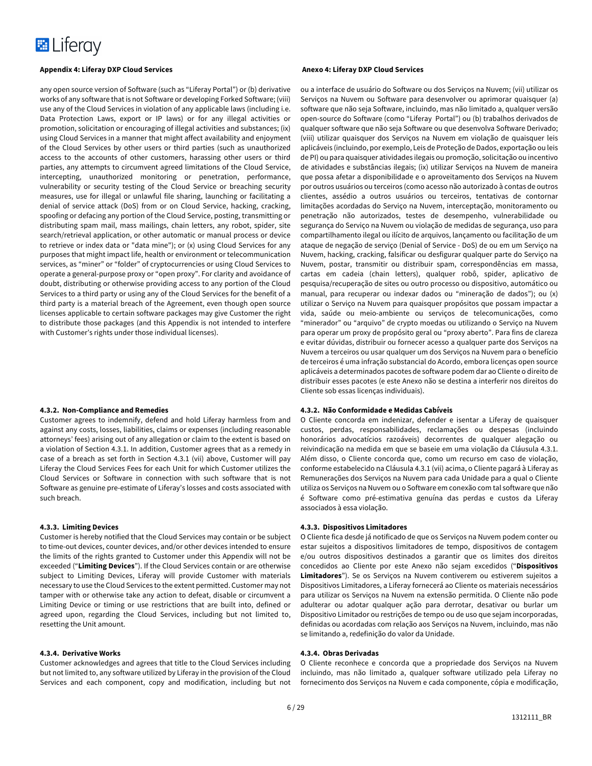

any open source version of Software (such as "Liferay Portal") or (b) derivative works of any software that is not Software or developing Forked Software; (viii) use any of the Cloud Services in violation of any applicable laws (including i.e. Data Protection Laws, export or IP laws) or for any illegal activities or promotion, solicitation or encouraging of illegal activities and substances; (ix) using Cloud Services in a manner that might affect availability and enjoyment of the Cloud Services by other users or third parties (such as unauthorized access to the accounts of other customers, harassing other users or third parties, any attempts to circumvent agreed limitations of the Cloud Service, intercepting, unauthorized monitoring or penetration, performance, vulnerability or security testing of the Cloud Service or breaching security measures, use for illegal or unlawful file sharing, launching or facilitating a denial of service attack (DoS) from or on Cloud Service, hacking, cracking, spoofing or defacing any portion of the Cloud Service, posting, transmitting or distributing spam mail, mass mailings, chain letters, any robot, spider, site search/retrieval application, or other automatic or manual process or device to retrieve or index data or "data mine"); or (x) using Cloud Services for any purposes that might impact life, health or environment or telecommunication services, as "miner" or "folder" of cryptocurrencies or using Cloud Services to operate a general-purpose proxy or "open proxy". For clarity and avoidance of doubt, distributing or otherwise providing access to any portion of the Cloud Services to a third party or using any of the Cloud Services for the benefit of a third party is a material breach of the Agreement, even though open source licenses applicable to certain software packages may give Customer the right to distribute those packages (and this Appendix is not intended to interfere with Customer's rights under those individual licenses).

#### **4.3.2. Non-Compliance and Remedies**

Customer agrees to indemnify, defend and hold Liferay harmless from and against any costs, losses, liabilities, claims or expenses (including reasonable attorneys' fees) arising out of any allegation or claim to the extent is based on a violation of Section 4.3.1. In addition, Customer agrees that as a remedy in case of a breach as set forth in Section 4.3.1 (vii) above, Customer will pay Liferay the Cloud Services Fees for each Unit for which Customer utilizes the Cloud Services or Software in connection with such software that is not Software as genuine pre-estimate of Liferay's losses and costs associated with such breach.

#### **4.3.3. Limiting Devices**

Customer is hereby notified that the Cloud Services may contain or be subject to time-out devices, counter devices, and/or other devices intended to ensure the limits of the rights granted to Customer under this Appendix will not be exceeded ("**Limiting Devices**"). If the Cloud Services contain or are otherwise subject to Limiting Devices, Liferay will provide Customer with materials necessary to use the Cloud Services to the extent permitted. Customer may not tamper with or otherwise take any action to defeat, disable or circumvent a Limiting Device or timing or use restrictions that are built into, defined or agreed upon, regarding the Cloud Services, including but not limited to, resetting the Unit amount.

#### **4.3.4. Derivative Works**

Customer acknowledges and agrees that title to the Cloud Services including but not limited to, any software utilized by Liferay in the provision of the Cloud Services and each component, copy and modification, including but not

ou a interface de usuário do Software ou dos Serviços na Nuvem; (vii) utilizar os Serviços na Nuvem ou Software para desenvolver ou aprimorar quaisquer (a) software que não seja Software, incluindo, mas não limitado a, qualquer versão open-source do Software (como "Liferay Portal") ou (b) trabalhos derivados de qualquer software que não seja Software ou que desenvolva Software Derivado; (viii) utilizar quaisquer dos Serviços na Nuvem em violação de quaisquer leis aplicáveis (incluindo, por exemplo, Leis de Proteção de Dados, exportação ou leis de PI) ou para quaisquer atividades ilegais ou promoção, solicitação ou incentivo de atividades e substâncias ilegais; (ix) utilizar Serviços na Nuvem de maneira que possa afetar a disponibilidade e o aproveitamento dos Serviços na Nuvem por outros usuários ou terceiros (como acesso não autorizado à contas de outros clientes, assédio a outros usuários ou terceiros, tentativas de contornar limitações acordadas do Serviço na Nuvem, interceptação, monitoramento ou penetração não autorizados, testes de desempenho, vulnerabilidade ou segurança do Serviço na Nuvem ou violação de medidas de segurança, uso para compartilhamento ilegal ou ilícito de arquivos, lançamento ou facilitação de um ataque de negação de serviço (Denial of Service - DoS) de ou em um Serviço na Nuvem, hacking, cracking, falsificar ou desfigurar qualquer parte do Serviço na Nuvem, postar, transmitir ou distribuir spam, correspondências em massa, cartas em cadeia (chain letters), qualquer robô, spider, aplicativo de pesquisa/recuperação de sites ou outro processo ou dispositivo, automático ou manual, para recuperar ou indexar dados ou "mineração de dados"); ou (x) utilizar o Serviço na Nuvem para quaisquer propósitos que possam impactar a vida, saúde ou meio-ambiente ou serviços de telecomunicações, como "minerador" ou "arquivo" de crypto moedas ou utilizando o Serviço na Nuvem para operar um proxy de propósito geral ou "proxy aberto". Para fins de clareza e evitar dúvidas, distribuir ou fornecer acesso a qualquer parte dos Serviços na Nuvem a terceiros ou usar qualquer um dos Serviços na Nuvem para o benefício de terceiros é uma infração substancial do Acordo, embora licenças open source aplicáveis a determinados pacotes de software podem dar ao Cliente o direito de distribuir esses pacotes (e este Anexo não se destina a interferir nos direitos do Cliente sob essas licenças individuais).

#### **4.3.2. Não Conformidade e Medidas Cabíveis**

O Cliente concorda em indenizar, defender e isentar a Liferay de quaisquer custos, perdas, responsabilidades, reclamações ou despesas (incluindo honorários advocatícios razoáveis) decorrentes de qualquer alegação ou reivindicação na medida em que se baseie em uma violação da Cláusula 4.3.1. Além disso, o Cliente concorda que, como um recurso em caso de violação, conforme estabelecido na Cláusula 4.3.1 (vii) acima, o Cliente pagará à Liferay as Remunerações dos Serviços na Nuvem para cada Unidade para a qual o Cliente utiliza os Serviços na Nuvem ou o Software em conexão com tal software que não é Software como pré-estimativa genuína das perdas e custos da Liferay associados à essa violação.

#### **4.3.3. Dispositivos Limitadores**

O Cliente fica desde já notificado de que os Serviços na Nuvem podem conter ou estar sujeitos a dispositivos limitadores de tempo, dispositivos de contagem e/ou outros dispositivos destinados a garantir que os limites dos direitos concedidos ao Cliente por este Anexo não sejam excedidos ("**Dispositivos Limitadores**"). Se os Serviços na Nuvem contiverem ou estiverem sujeitos a Dispositivos Limitadores, a Liferay fornecerá ao Cliente os materiais necessários para utilizar os Serviços na Nuvem na extensão permitida. O Cliente não pode adulterar ou adotar qualquer ação para derrotar, desativar ou burlar um Dispositivo Limitador ou restrições de tempo ou de uso que sejam incorporadas, definidas ou acordadas com relação aos Serviços na Nuvem, incluindo, mas não se limitando a, redefinição do valor da Unidade.

#### **4.3.4. Obras Derivadas**

O Cliente reconhece e concorda que a propriedade dos Serviços na Nuvem incluindo, mas não limitado a, qualquer software utilizado pela Liferay no fornecimento dos Serviços na Nuvem e cada componente, cópia e modificação,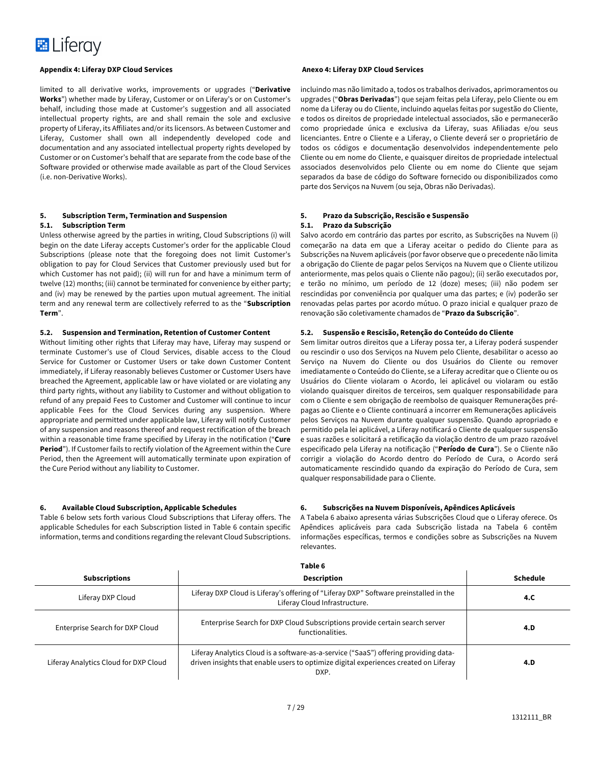

limited to all derivative works, improvements or upgrades ("**Derivative Works**") whether made by Liferay, Customer or on Liferay's or on Customer's behalf, including those made at Customer's suggestion and all associated intellectual property rights, are and shall remain the sole and exclusive property of Liferay, its Affiliates and/or its licensors. As between Customer and Liferay, Customer shall own all independently developed code and documentation and any associated intellectual property rights developed by Customer or on Customer's behalf that are separate from the code base of the Software provided or otherwise made available as part of the Cloud Services (i.e. non-Derivative Works).

#### **5. Subscription Term, Termination and Suspension 5.1. Subscription Term**

Unless otherwise agreed by the parties in writing, Cloud Subscriptions (i) will begin on the date Liferay accepts Customer's order for the applicable Cloud Subscriptions (please note that the foregoing does not limit Customer's obligation to pay for Cloud Services that Customer previously used but for which Customer has not paid); (ii) will run for and have a minimum term of twelve (12) months; (iii) cannot be terminated for convenience by either party; and (iv) may be renewed by the parties upon mutual agreement. The initial term and any renewal term are collectively referred to as the "**Subscription Term**".

#### **5.2. Suspension and Termination, Retention of Customer Content**

Without limiting other rights that Liferay may have, Liferay may suspend or terminate Customer's use of Cloud Services, disable access to the Cloud Service for Customer or Customer Users or take down Customer Content immediately, if Liferay reasonably believes Customer or Customer Users have breached the Agreement, applicable law or have violated or are violating any third party rights, without any liability to Customer and without obligation to refund of any prepaid Fees to Customer and Customer will continue to incur applicable Fees for the Cloud Services during any suspension. Where appropriate and permitted under applicable law, Liferay will notify Customer of any suspension and reasons thereof and request rectification of the breach within a reasonable time frame specified by Liferay in the notification ("**Cure Period**"). If Customer fails to rectify violation of the Agreement within the Cure Period, then the Agreement will automatically terminate upon expiration of the Cure Period without any liability to Customer.

#### **6. Available Cloud Subscription, Applicable Schedules**

Table 6 below sets forth various Cloud Subscriptions that Liferay offers. The applicable Schedules for each Subscription listed in Table 6 contain specific information, terms and conditions regarding the relevant Cloud Subscriptions.

incluindo mas não limitado a, todos os trabalhos derivados, aprimoramentos ou upgrades ("**Obras Derivadas**") que sejam feitas pela Liferay, pelo Cliente ou em nome da Liferay ou do Cliente, incluindo aquelas feitas por sugestão do Cliente, e todos os direitos de propriedade intelectual associados, são e permanecerão como propriedade única e exclusiva da Liferay, suas Afiliadas e/ou seus licenciantes. Entre o Cliente e a Liferay, o Cliente deverá ser o proprietário de todos os códigos e documentação desenvolvidos independentemente pelo Cliente ou em nome do Cliente, e quaisquer direitos de propriedade intelectual associados desenvolvidos pelo Cliente ou em nome do Cliente que sejam separados da base de código do Software fornecido ou disponibilizados como parte dos Serviços na Nuvem (ou seja, Obras não Derivadas).

#### **5. Prazo da Subscrição, Rescisão e Suspensão 5.1. Prazo da Subscrição**

Salvo acordo em contrário das partes por escrito, as Subscrições na Nuvem (i) começarão na data em que a Liferay aceitar o pedido do Cliente para as Subscrições na Nuvem aplicáveis (por favor observe que o precedente não limita a obrigação do Cliente de pagar pelos Serviços na Nuvem que o Cliente utilizou anteriormente, mas pelos quais o Cliente não pagou); (ii) serão executados por, e terão no mínimo, um período de 12 (doze) meses; (iii) não podem ser rescindidas por conveniência por qualquer uma das partes; e (iv) poderão ser renovadas pelas partes por acordo mútuo. O prazo inicial e qualquer prazo de renovação são coletivamente chamados de "**Prazo da Subscrição**".

#### **5.2. Suspensão e Rescisão, Retenção do Conteúdo do Cliente**

Sem limitar outros direitos que a Liferay possa ter, a Liferay poderá suspender ou rescindir o uso dos Serviços na Nuvem pelo Cliente, desabilitar o acesso ao Serviço na Nuvem do Cliente ou dos Usuários do Cliente ou remover imediatamente o Conteúdo do Cliente, se a Liferay acreditar que o Cliente ou os Usuários do Cliente violaram o Acordo, lei aplicável ou violaram ou estão violando quaisquer direitos de terceiros, sem qualquer responsabilidade para com o Cliente e sem obrigação de reembolso de quaisquer Remunerações prépagas ao Cliente e o Cliente continuará a incorrer em Remunerações aplicáveis pelos Serviços na Nuvem durante qualquer suspensão. Quando apropriado e permitido pela lei aplicável, a Liferay notificará o Cliente de qualquer suspensão e suas razões e solicitará a retificação da violação dentro de um prazo razoável especificado pela Liferay na notificação ("**Período de Cura**"). Se o Cliente não corrigir a violação do Acordo dentro do Período de Cura, o Acordo será automaticamente rescindido quando da expiração do Período de Cura, sem qualquer responsabilidade para o Cliente.

### **6. Subscrições na Nuvem Disponíveis, Apêndices Aplicáveis**

A Tabela 6 abaixo apresenta várias Subscrições Cloud que o Liferay oferece. Os Apêndices aplicáveis para cada Subscrição listada na Tabela 6 contêm informações específicas, termos e condições sobre as Subscrições na Nuvem relevantes.

| <b>Subscriptions</b>                  | <b>Description</b>                                                                                                                                                                   | <b>Schedule</b> |
|---------------------------------------|--------------------------------------------------------------------------------------------------------------------------------------------------------------------------------------|-----------------|
| Liferay DXP Cloud                     | Liferay DXP Cloud is Liferay's offering of "Liferay DXP" Software preinstalled in the<br>Liferay Cloud Infrastructure.                                                               | 4.C             |
| Enterprise Search for DXP Cloud       | Enterprise Search for DXP Cloud Subscriptions provide certain search server<br>functionalities.                                                                                      | 4.D             |
| Liferay Analytics Cloud for DXP Cloud | Liferay Analytics Cloud is a software-as-a-service ("SaaS") offering providing data-<br>driven insights that enable users to optimize digital experiences created on Liferay<br>DXP. | 4.D             |

### **Table 6**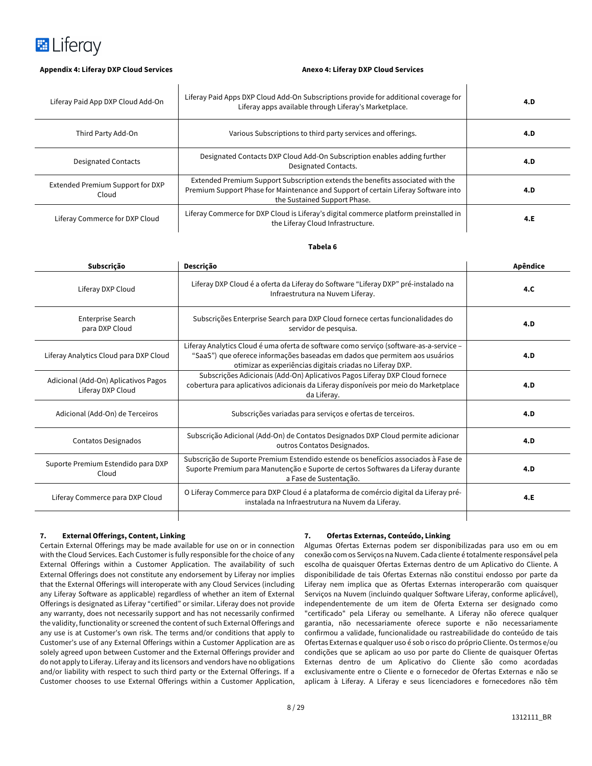

I

 $\mathbf l$ 

| Liferay Paid App DXP Cloud Add-On         | Liferay Paid Apps DXP Cloud Add-On Subscriptions provide for additional coverage for<br>Liferay apps available through Liferay's Marketplace.                                                        | 4.D |
|-------------------------------------------|------------------------------------------------------------------------------------------------------------------------------------------------------------------------------------------------------|-----|
| Third Party Add-On                        | Various Subscriptions to third party services and offerings.                                                                                                                                         | 4.D |
| <b>Designated Contacts</b>                | Designated Contacts DXP Cloud Add-On Subscription enables adding further<br>Designated Contacts.                                                                                                     | 4.D |
| Extended Premium Support for DXP<br>Cloud | Extended Premium Support Subscription extends the benefits associated with the<br>Premium Support Phase for Maintenance and Support of certain Liferay Software into<br>the Sustained Support Phase. | 4.D |
| Liferay Commerce for DXP Cloud            | Liferay Commerce for DXP Cloud is Liferay's digital commerce platform preinstalled in<br>the Liferay Cloud Infrastructure.                                                                           | 4.E |

#### **Tabela 6**

| Subscrição                                                | Descrição                                                                                                                                                                                                                          | Apêndice |
|-----------------------------------------------------------|------------------------------------------------------------------------------------------------------------------------------------------------------------------------------------------------------------------------------------|----------|
| Liferay DXP Cloud                                         | Liferay DXP Cloud é a oferta da Liferay do Software "Liferay DXP" pré-instalado na<br>Infraestrutura na Nuvem Liferay.                                                                                                             | 4.C      |
| Enterprise Search<br>para DXP Cloud                       | Subscrições Enterprise Search para DXP Cloud fornece certas funcionalidades do<br>servidor de pesquisa.                                                                                                                            | 4.D      |
| Liferay Analytics Cloud para DXP Cloud                    | Liferay Analytics Cloud é uma oferta de software como serviço (software-as-a-service -<br>"SaaS") que oferece informações baseadas em dados que permitem aos usuários<br>otimizar as experiências digitais criadas no Liferay DXP. | 4.D      |
| Adicional (Add-On) Aplicativos Pagos<br>Liferay DXP Cloud | Subscrições Adicionais (Add-On) Aplicativos Pagos Liferay DXP Cloud fornece<br>cobertura para aplicativos adicionais da Liferay disponíveis por meio do Marketplace<br>da Liferay.                                                 | 4.D      |
| Adicional (Add-On) de Terceiros                           | Subscrições variadas para serviços e ofertas de terceiros.                                                                                                                                                                         | 4.D      |
| Contatos Designados                                       | Subscrição Adicional (Add-On) de Contatos Designados DXP Cloud permite adicionar<br>outros Contatos Designados.                                                                                                                    | 4.D      |
| Suporte Premium Estendido para DXP<br>Cloud               | Subscrição de Suporte Premium Estendido estende os benefícios associados à Fase de<br>Suporte Premium para Manutenção e Suporte de certos Softwares da Liferay durante<br>a Fase de Sustentação.                                   | 4.D      |
| Liferay Commerce para DXP Cloud                           | O Liferay Commerce para DXP Cloud é a plataforma de comércio digital da Liferay pré-<br>instalada na Infraestrutura na Nuvem da Liferay.                                                                                           | 4.E      |
|                                                           |                                                                                                                                                                                                                                    |          |

### **7. External Offerings, Content, Linking**

Certain External Offerings may be made available for use on or in connection with the Cloud Services. Each Customer is fully responsible for the choice of any External Offerings within a Customer Application. The availability of such External Offerings does not constitute any endorsement by Liferay nor implies that the External Offerings will interoperate with any Cloud Services (including any Liferay Software as applicable) regardless of whether an item of External Offerings is designated as Liferay "certified" or similar. Liferay does not provide any warranty, does not necessarily support and has not necessarily confirmed the validity, functionality or screened the content of such External Offerings and any use is at Customer's own risk. The terms and/or conditions that apply to Customer's use of any External Offerings within a Customer Application are as solely agreed upon between Customer and the External Offerings provider and do not apply to Liferay. Liferay and its licensors and vendors have no obligations and/or liability with respect to such third party or the External Offerings. If a Customer chooses to use External Offerings within a Customer Application,

#### **7. Ofertas Externas, Conteúdo, Linking**

Algumas Ofertas Externas podem ser disponibilizadas para uso em ou em conexão com os Serviços na Nuvem. Cada cliente é totalmente responsável pela escolha de quaisquer Ofertas Externas dentro de um Aplicativo do Cliente. A disponibilidade de tais Ofertas Externas não constitui endosso por parte da Liferay nem implica que as Ofertas Externas interoperarão com quaisquer Serviços na Nuvem (incluindo qualquer Software Liferay, conforme aplicável), independentemente de um item de Oferta Externa ser designado como "certificado" pela Liferay ou semelhante. A Liferay não oferece qualquer garantia, não necessariamente oferece suporte e não necessariamente confirmou a validade, funcionalidade ou rastreabilidade do conteúdo de tais Ofertas Externas e qualquer uso é sob o risco do próprio Cliente. Os termos e/ou condições que se aplicam ao uso por parte do Cliente de quaisquer Ofertas Externas dentro de um Aplicativo do Cliente são como acordadas exclusivamente entre o Cliente e o fornecedor de Ofertas Externas e não se aplicam à Liferay. A Liferay e seus licenciadores e fornecedores não têm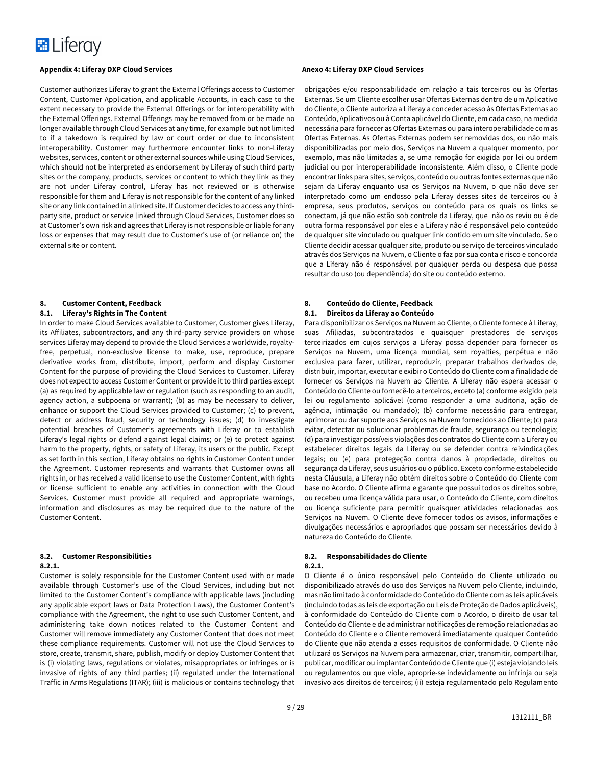

Customer authorizes Liferay to grant the External Offerings access to Customer Content, Customer Application, and applicable Accounts, in each case to the extent necessary to provide the External Offerings or for interoperability with the External Offerings. External Offerings may be removed from or be made no longer available through Cloud Services at any time, for example but not limited to if a takedown is required by law or court order or due to inconsistent interoperability. Customer may furthermore encounter links to non-Liferay websites, services, content or other external sources while using Cloud Services, which should not be interpreted as endorsement by Liferay of such third party sites or the company, products, services or content to which they link as they are not under Liferay control, Liferay has not reviewed or is otherwise responsible for them and Liferay is not responsible for the content of any linked site or any link contained in a linked site. If Customer decides to access any thirdparty site, product or service linked through Cloud Services, Customer does so at Customer's own risk and agrees that Liferay is not responsible or liable for any loss or expenses that may result due to Customer's use of (or reliance on) the external site or content.

## **8. Customer Content, Feedback**

#### **8.1. Liferay's Rights in The Content**

In order to make Cloud Services available to Customer, Customer gives Liferay, its Affiliates, subcontractors, and any third-party service providers on whose services Liferay may depend to provide the Cloud Services a worldwide, royaltyfree, perpetual, non-exclusive license to make, use, reproduce, prepare derivative works from, distribute, import, perform and display Customer Content for the purpose of providing the Cloud Services to Customer. Liferay does not expect to access Customer Content or provide it to third parties except (a) as required by applicable law or regulation (such as responding to an audit, agency action, a subpoena or warrant); (b) as may be necessary to deliver, enhance or support the Cloud Services provided to Customer; (c) to prevent, detect or address fraud, security or technology issues; (d) to investigate potential breaches of Customer's agreements with Liferay or to establish Liferay's legal rights or defend against legal claims; or (e) to protect against harm to the property, rights, or safety of Liferay, its users or the public. Except as set forth in this section, Liferay obtains no rights in Customer Content under the Agreement. Customer represents and warrants that Customer owns all rights in, or has received a valid license to use the Customer Content, with rights or license sufficient to enable any activities in connection with the Cloud Services. Customer must provide all required and appropriate warnings, information and disclosures as may be required due to the nature of the Customer Content.

#### **8.2. Customer Responsibilities**

#### **8.2.1.**

Customer is solely responsible for the Customer Content used with or made available through Customer's use of the Cloud Services, including but not limited to the Customer Content's compliance with applicable laws (including any applicable export laws or Data Protection Laws), the Customer Content's compliance with the Agreement, the right to use such Customer Content, and administering take down notices related to the Customer Content and Customer will remove immediately any Customer Content that does not meet these compliance requirements. Customer will not use the Cloud Services to store, create, transmit, share, publish, modify or deploy Customer Content that is (i) violating laws, regulations or violates, misappropriates or infringes or is invasive of rights of any third parties; (ii) regulated under the International Traffic in Arms Regulations (ITAR); (iii) is malicious or contains technology that

obrigações e/ou responsabilidade em relação a tais terceiros ou às Ofertas Externas. Se um Cliente escolher usar Ofertas Externas dentro de um Aplicativo do Cliente, o Cliente autoriza a Liferay a conceder acesso às Ofertas Externas ao Conteúdo, Aplicativos ou à Conta aplicável do Cliente, em cada caso, na medida necessária para fornecer as Ofertas Externas ou para interoperabilidade com as Ofertas Externas. As Ofertas Externas podem ser removidas dos, ou não mais disponibilizadas por meio dos, Serviços na Nuvem a qualquer momento, por exemplo, mas não limitadas a, se uma remoção for exigida por lei ou ordem judicial ou por interoperabilidade inconsistente. Além disso, o Cliente pode encontrar links para sites, serviços, conteúdo ou outras fontes externas que não sejam da Liferay enquanto usa os Serviços na Nuvem, o que não deve ser interpretado como um endosso pela Liferay desses sites de terceiros ou à empresa, seus produtos, serviços ou conteúdo para os quais os links se conectam, já que não estão sob controle da Liferay, que não os reviu ou é de outra forma responsável por eles e a Liferay não é responsável pelo conteúdo de qualquer site vinculado ou qualquer link contido em um site vinculado. Se o Cliente decidir acessar qualquer site, produto ou serviço de terceiros vinculado através dos Serviços na Nuvem, o Cliente o faz por sua conta e risco e concorda que a Liferay não é responsável por qualquer perda ou despesa que possa resultar do uso (ou dependência) do site ou conteúdo externo.

# **8. Conteúdo do Cliente, Feedback**

### **8.1. Direitos da Liferay ao Conteúdo**

Para disponibilizar os Serviços na Nuvem ao Cliente, o Cliente fornece à Liferay, suas Afiliadas, subcontratados e quaisquer prestadores de serviços terceirizados em cujos serviços a Liferay possa depender para fornecer os Serviços na Nuvem, uma licença mundial, sem royalties, perpétua e não exclusiva para fazer, utilizar, reproduzir, preparar trabalhos derivados de, distribuir, importar, executar e exibir o Conteúdo do Cliente com a finalidade de fornecer os Serviços na Nuvem ao Cliente. A Liferay não espera acessar o Conteúdo do Cliente ou fornecê-lo a terceiros, exceto (a) conforme exigido pela lei ou regulamento aplicável (como responder a uma auditoria, ação de agência, intimação ou mandado); (b) conforme necessário para entregar, aprimorar ou dar suporte aos Serviços na Nuvem fornecidos ao Cliente; (c) para evitar, detectar ou solucionar problemas de fraude, segurança ou tecnologia; (d) para investigar possíveis violações dos contratos do Cliente com a Liferay ou estabelecer direitos legais da Liferay ou se defender contra reivindicações legais; ou (e) para protegeção contra danos à propriedade, direitos ou segurança da Liferay, seus usuários ou o público. Exceto conforme estabelecido nesta Cláusula, a Liferay não obtém direitos sobre o Conteúdo do Cliente com base no Acordo. O Cliente afirma e garante que possui todos os direitos sobre, ou recebeu uma licença válida para usar, o Conteúdo do Cliente, com direitos ou licença suficiente para permitir quaisquer atividades relacionadas aos Serviços na Nuvem. O Cliente deve fornecer todos os avisos, informações e divulgações necessários e apropriados que possam ser necessários devido à natureza do Conteúdo do Cliente.

#### **8.2. Responsabilidades do Cliente**

#### **8.2.1.**

O Cliente é o único responsável pelo Conteúdo do Cliente utilizado ou disponibilizado através do uso dos Serviços na Nuvem pelo Cliente, incluindo, mas não limitado à conformidade do Conteúdo do Cliente com as leis aplicáveis (incluindo todas as leis de exportação ou Leis de Proteção de Dados aplicáveis), à conformidade do Conteúdo do Cliente com o Acordo, o direito de usar tal Conteúdo do Cliente e de administrar notificações de remoção relacionadas ao Conteúdo do Cliente e o Cliente removerá imediatamente qualquer Conteúdo do Cliente que não atenda a esses requisitos de conformidade. O Cliente não utilizará os Serviços na Nuvem para armazenar, criar, transmitir, compartilhar, publicar, modificar ou implantar Conteúdo de Cliente que (i) esteja violando leis ou regulamentos ou que viole, aproprie-se indevidamente ou infrinja ou seja invasivo aos direitos de terceiros; (ii) esteja regulamentado pelo Regulamento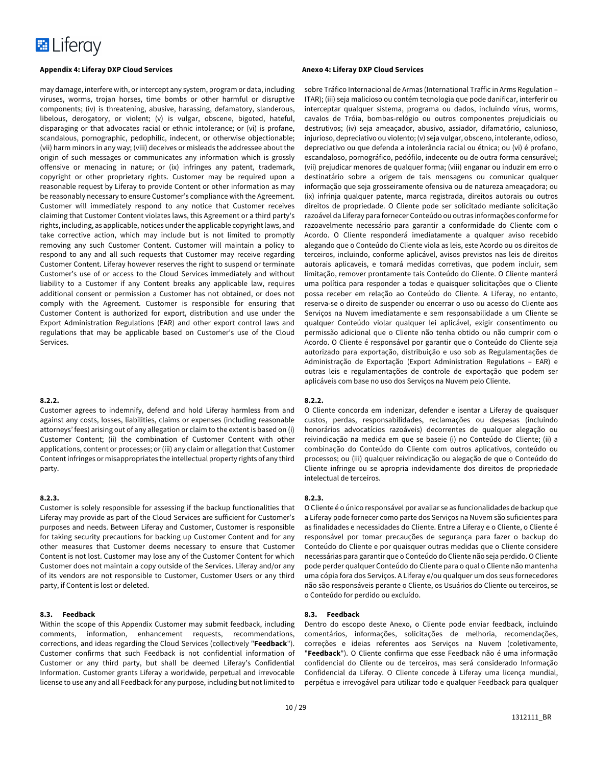

may damage, interfere with, or intercept any system, program or data, including viruses, worms, trojan horses, time bombs or other harmful or disruptive components; (iv) is threatening, abusive, harassing, defamatory, slanderous, libelous, derogatory, or violent; (v) is vulgar, obscene, bigoted, hateful, disparaging or that advocates racial or ethnic intolerance; or (vi) is profane, scandalous, pornographic, pedophilic, indecent, or otherwise objectionable; (vii) harm minors in any way; (viii) deceives or misleads the addressee about the origin of such messages or communicates any information which is grossly offensive or menacing in nature; or (ix) infringes any patent, trademark, copyright or other proprietary rights. Customer may be required upon a reasonable request by Liferay to provide Content or other information as may be reasonably necessary to ensure Customer's compliance with the Agreement. Customer will immediately respond to any notice that Customer receives claiming that Customer Content violates laws, this Agreement or a third party's rights, including, as applicable, notices under the applicable copyright laws, and take corrective action, which may include but is not limited to promptly removing any such Customer Content. Customer will maintain a policy to respond to any and all such requests that Customer may receive regarding Customer Content. Liferay however reserves the right to suspend or terminate Customer's use of or access to the Cloud Services immediately and without liability to a Customer if any Content breaks any applicable law, requires additional consent or permission a Customer has not obtained, or does not comply with the Agreement. Customer is responsible for ensuring that Customer Content is authorized for export, distribution and use under the Export Administration Regulations (EAR) and other export control laws and regulations that may be applicable based on Customer's use of the Cloud Services.

#### **8.2.2.**

Customer agrees to indemnify, defend and hold Liferay harmless from and against any costs, losses, liabilities, claims or expenses (including reasonable attorneys' fees) arising out of any allegation or claim to the extent is based on (i) Customer Content; (ii) the combination of Customer Content with other applications, content or processes; or (iii) any claim or allegation that Customer Content infringes or misappropriates the intellectual property rights of any third party.

#### **8.2.3.**

Customer is solely responsible for assessing if the backup functionalities that Liferay may provide as part of the Cloud Services are sufficient for Customer's purposes and needs. Between Liferay and Customer, Customer is responsible for taking security precautions for backing up Customer Content and for any other measures that Customer deems necessary to ensure that Customer Content is not lost. Customer may lose any of the Customer Content for which Customer does not maintain a copy outside of the Services. Liferay and/or any of its vendors are not responsible to Customer, Customer Users or any third party, if Content is lost or deleted.

#### **8.3. Feedback**

Within the scope of this Appendix Customer may submit feedback, including comments, information, enhancement requests, recommendations, corrections, and ideas regarding the Cloud Services (collectively "**Feedback**"). Customer confirms that such Feedback is not confidential information of Customer or any third party, but shall be deemed Liferay's Confidential Information. Customer grants Liferay a worldwide, perpetual and irrevocable license to use any and all Feedback for any purpose, including but not limited to

sobre Tráfico Internacional de Armas (International Traffic in Arms Regulation – ITAR); (iii) seja malicioso ou contém tecnologia que pode danificar, interferir ou interceptar qualquer sistema, programa ou dados, incluindo vírus, worms, cavalos de Tróia, bombas-relógio ou outros componentes prejudiciais ou destrutivos; (iv) seja ameaçador, abusivo, assiador, difamatório, calunioso, injurioso, depreciativo ou violento; (v) seja vulgar, obsceno, intolerante, odioso, depreciativo ou que defenda a intolerância racial ou étnica; ou (vi) é profano, escandaloso, pornográfico, pedófilo, indecente ou de outra forma censurável; (vii) prejudicar menores de qualquer forma; (viii) enganar ou induzir em erro o destinatário sobre a origem de tais mensagens ou comunicar qualquer informação que seja grosseiramente ofensiva ou de natureza ameaçadora; ou (ix) infrinja qualquer patente, marca registrada, direitos autorais ou outros direitos de propriedade. O Cliente pode ser solicitado mediante solicitação razoável da Liferay para fornecer Conteúdo ou outras informações conforme for razoavelmente necessário para garantir a conformidade do Cliente com o Acordo. O Cliente responderá imediatamente a qualquer aviso recebido alegando que o Conteúdo do Cliente viola as leis, este Acordo ou os direitos de terceiros, incluindo, conforme aplicável, avisos previstos nas leis de direitos autorais aplicaveis, e tomará medidas corretivas, que podem incluir, sem limitação, remover prontamente tais Conteúdo do Cliente. O Cliente manterá uma política para responder a todas e quaisquer solicitações que o Cliente possa receber em relação ao Conteúdo do Cliente. A Liferay, no entanto, reserva-se o direito de suspender ou encerrar o uso ou acesso do Cliente aos Serviços na Nuvem imediatamente e sem responsabilidade a um Cliente se qualquer Conteúdo violar qualquer lei aplicável, exigir consentimento ou permissão adicional que o Cliente não tenha obtido ou não cumprir com o Acordo. O Cliente é responsável por garantir que o Conteúdo do Cliente seja autorizado para exportação, distribuição e uso sob as Regulamentações de Administração de Exportação (Export Administration Regulations – EAR) e outras leis e regulamentações de controle de exportação que podem ser aplicáveis com base no uso dos Serviços na Nuvem pelo Cliente.

#### **8.2.2.**

O Cliente concorda em indenizar, defender e isentar a Liferay de quaisquer custos, perdas, responsabilidades, reclamações ou despesas (incluindo honorários advocatícios razoáveis) decorrentes de qualquer alegação ou reivindicação na medida em que se baseie (i) no Conteúdo do Cliente; (ii) a combinação do Conteúdo do Cliente com outros aplicativos, conteúdo ou processos; ou (iii) qualquer reivindicação ou alegação de que o Conteúdo do Cliente infringe ou se apropria indevidamente dos direitos de propriedade intelectual de terceiros.

#### **8.2.3.**

O Cliente é o único responsável por avaliar se as funcionalidades de backup que a Liferay pode fornecer como parte dos Serviços na Nuvem são suficientes para as finalidades e necessidades do Cliente. Entre a Liferay e o Cliente, o Cliente é responsável por tomar precauções de segurança para fazer o backup do Conteúdo do Cliente e por quaisquer outras medidas que o Cliente considere necessárias para garantir que o Conteúdo do Cliente não seja perdido. O Cliente pode perder qualquer Conteúdo do Cliente para o qual o Cliente não mantenha uma cópia fora dos Serviços. A Liferay e/ou qualquer um dos seus fornecedores não são responsáveis perante o Cliente, os Usuários do Cliente ou terceiros, se o Conteúdo for perdido ou excluído.

#### **8.3. Feedback**

Dentro do escopo deste Anexo, o Cliente pode enviar feedback, incluindo comentários, informações, solicitações de melhoria, recomendações, correções e ideias referentes aos Serviços na Nuvem (coletivamente, "**Feedback**"). O Cliente confirma que esse Feedback não é uma informação confidencial do Cliente ou de terceiros, mas será considerado Informação Confidencial da Liferay. O Cliente concede à Liferay uma licença mundial, perpétua e irrevogável para utilizar todo e qualquer Feedback para qualquer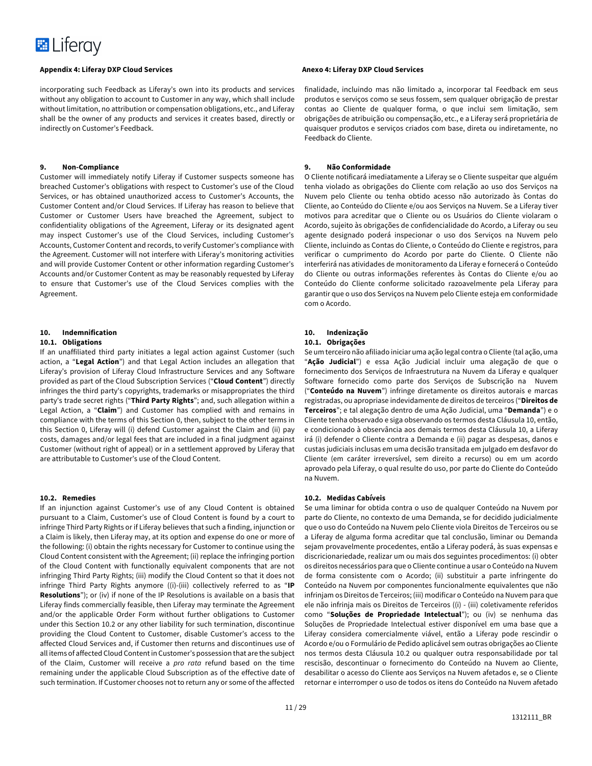

incorporating such Feedback as Liferay's own into its products and services without any obligation to account to Customer in any way, which shall include without limitation, no attribution or compensation obligations, etc., and Liferay shall be the owner of any products and services it creates based, directly or indirectly on Customer's Feedback.

#### **9. Non-Compliance**

Customer will immediately notify Liferay if Customer suspects someone has breached Customer's obligations with respect to Customer's use of the Cloud Services, or has obtained unauthorized access to Customer's Accounts, the Customer Content and/or Cloud Services. If Liferay has reason to believe that Customer or Customer Users have breached the Agreement, subject to confidentiality obligations of the Agreement, Liferay or its designated agent may inspect Customer's use of the Cloud Services, including Customer's Accounts, Customer Content and records, to verify Customer's compliance with the Agreement. Customer will not interfere with Liferay's monitoring activities and will provide Customer Content or other information regarding Customer's Accounts and/or Customer Content as may be reasonably requested by Liferay to ensure that Customer's use of the Cloud Services complies with the Agreement.

#### **10. Indemnification**

#### **10.1. Obligations**

If an unaffiliated third party initiates a legal action against Customer (such action, a "**Legal Action**") and that Legal Action includes an allegation that Liferay's provision of Liferay Cloud Infrastructure Services and any Software provided as part of the Cloud Subscription Services ("**Cloud Content**") directly infringes the third party's copyrights, trademarks or misappropriates the third party's trade secret rights ("**Third Party Rights**"; and, such allegation within a Legal Action, a "**Claim**") and Customer has complied with and remains in compliance with the terms of this Section 0, then, subject to the other terms in this Section 0, Liferay will (i) defend Customer against the Claim and (ii) pay costs, damages and/or legal fees that are included in a final judgment against Customer (without right of appeal) or in a settlement approved by Liferay that are attributable to Customer's use of the Cloud Content.

#### **10.2. Remedies**

If an injunction against Customer's use of any Cloud Content is obtained pursuant to a Claim, Customer's use of Cloud Content is found by a court to infringe Third Party Rights or if Liferay believes that such a finding, injunction or a Claim is likely, then Liferay may, at its option and expense do one or more of the following: (i) obtain the rights necessary for Customer to continue using the Cloud Content consistent with the Agreement; (ii) replace the infringing portion of the Cloud Content with functionally equivalent components that are not infringing Third Party Rights; (iii) modify the Cloud Content so that it does not infringe Third Party Rights anymore ((i)-(iii) collectively referred to as "**IP Resolutions**"); or (iv) if none of the IP Resolutions is available on a basis that Liferay finds commercially feasible, then Liferay may terminate the Agreement and/or the applicable Order Form without further obligations to Customer under this Section 10.2 or any other liability for such termination, discontinue providing the Cloud Content to Customer, disable Customer's access to the affected Cloud Services and, if Customer then returns and discontinues use of all items of affected Cloud Content in Customer's possession that are the subject of the Claim, Customer will receive a *pro rata* refund based on the time remaining under the applicable Cloud Subscription as of the effective date of such termination. If Customer chooses not to return any or some of the affected

finalidade, incluindo mas não limitado a, incorporar tal Feedback em seus produtos e serviços como se seus fossem, sem qualquer obrigação de prestar contas ao Cliente de qualquer forma, o que inclui sem limitação, sem obrigações de atribuição ou compensação, etc., e a Liferay será proprietária de quaisquer produtos e serviços criados com base, direta ou indiretamente, no Feedback do Cliente.

#### **9. Não Conformidade**

O Cliente notificará imediatamente a Liferay se o Cliente suspeitar que alguém tenha violado as obrigações do Cliente com relação ao uso dos Serviços na Nuvem pelo Cliente ou tenha obtido acesso não autorizado às Contas do Cliente, ao Conteúdo do Cliente e/ou aos Serviços na Nuvem. Se a Liferay tiver motivos para acreditar que o Cliente ou os Usuários do Cliente violaram o Acordo, sujeito às obrigações de confidencialidade do Acordo, a Liferay ou seu agente designado poderá inspecionar o uso dos Serviços na Nuvem pelo Cliente, incluindo as Contas do Cliente, o Conteúdo do Cliente e registros, para verificar o cumprimento do Acordo por parte do Cliente. O Cliente não interferirá nas atividades de monitoramento da Liferay e fornecerá o Conteúdo do Cliente ou outras informações referentes às Contas do Cliente e/ou ao Conteúdo do Cliente conforme solicitado razoavelmente pela Liferay para garantir que o uso dos Serviços na Nuvem pelo Cliente esteja em conformidade com o Acordo.

#### **10. Indenização**

#### **10.1. Obrigações**

Se um terceiro não afiliado iniciar uma ação legal contra o Cliente (tal ação, uma "**Ação Judicial**") e essa Ação Judicial incluir uma alegação de que o fornecimento dos Serviços de Infraestrutura na Nuvem da Liferay e qualquer Software fornecido como parte dos Serviços de Subscrição na Nuvem ("**Conteúdo na Nuvem**") infringe diretamente os direitos autorais e marcas registradas, ou apropriase indevidamente de direitos de terceiros ("**Direitos de Terceiros**"; e tal alegação dentro de uma Ação Judicial, uma "**Demanda**") e o Cliente tenha observado e siga observando os termos desta Cláusula 10, então, e condicionado à observância aos demais termos desta Cláusula 10, a Liferay irá (i) defender o Cliente contra a Demanda e (ii) pagar as despesas, danos e custas judiciais inclusas em uma decisão transitada em julgado em desfavor do Cliente (em caráter irreversível, sem direito a recurso) ou em um acordo aprovado pela Liferay, o qual resulte do uso, por parte do Cliente do Conteúdo na Nuvem.

#### **10.2. Medidas Cabíveis**

Se uma liminar for obtida contra o uso de qualquer Conteúdo na Nuvem por parte do Cliente, no contexto de uma Demanda, se for decidido judicialmente que o uso do Conteúdo na Nuvem pelo Cliente viola Direitos de Terceiros ou se a Liferay de alguma forma acreditar que tal conclusão, liminar ou Demanda sejam provavelmente procedentes, então a Liferay poderá, às suas expensas e discricionariedade, realizar um ou mais dos seguintes procedimentos: (i) obter os direitos necessários para que o Cliente continue a usar o Conteúdo na Nuvem de forma consistente com o Acordo; (ii) substituir a parte infringente do Conteúdo na Nuvem por componentes funcionalmente equivalentes que não infrinjam os Direitos de Terceiros; (iii) modificar o Conteúdo na Nuvem para que ele não infrinja mais os Direitos de Terceiros ((i) - (iii) coletivamente referidos como "**Soluções de Propriedade Intelectual**"); ou (iv) se nenhuma das Soluções de Propriedade Intelectual estiver disponível em uma base que a Liferay considera comercialmente viável, então a Liferay pode rescindir o Acordo e/ou o Formulário de Pedido aplicável sem outras obrigações ao Cliente nos termos desta Cláusula 10.2 ou qualquer outra responsabilidade por tal rescisão, descontinuar o fornecimento do Conteúdo na Nuvem ao Cliente, desabilitar o acesso do Cliente aos Serviços na Nuvem afetados e, se o Cliente retornar e interromper o uso de todos os itens do Conteúdo na Nuvem afetado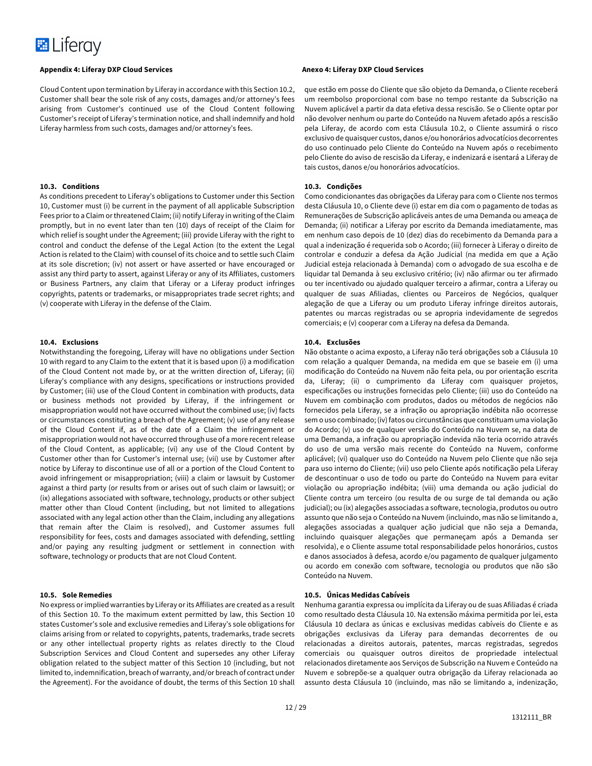

Cloud Content upon termination by Liferay in accordance with this Section 10.2, Customer shall bear the sole risk of any costs, damages and/or attorney's fees arising from Customer's continued use of the Cloud Content following Customer's receipt of Liferay's termination notice, and shall indemnify and hold Liferay harmless from such costs, damages and/or attorney's fees.

#### **10.3. Conditions**

As conditions precedent to Liferay's obligations to Customer under this Section 10, Customer must (i) be current in the payment of all applicable Subscription Fees prior to a Claim or threatened Claim; (ii) notify Liferay in writing of the Claim promptly, but in no event later than ten (10) days of receipt of the Claim for which relief is sought under the Agreement; (iii) provide Liferay with the right to control and conduct the defense of the Legal Action (to the extent the Legal Action is related to the Claim) with counsel of its choice and to settle such Claim at its sole discretion; (iv) not assert or have asserted or have encouraged or assist any third party to assert, against Liferay or any of its Affiliates, customers or Business Partners, any claim that Liferay or a Liferay product infringes copyrights, patents or trademarks, or misappropriates trade secret rights; and (v) cooperate with Liferay in the defense of the Claim.

#### **10.4. Exclusions**

Notwithstanding the foregoing, Liferay will have no obligations under Section 10 with regard to any Claim to the extent that it is based upon (i) a modification of the Cloud Content not made by, or at the written direction of, Liferay; (ii) Liferay's compliance with any designs, specifications or instructions provided by Customer; (iii) use of the Cloud Content in combination with products, data or business methods not provided by Liferay, if the infringement or misappropriation would not have occurred without the combined use; (iv) facts or circumstances constituting a breach of the Agreement; (v) use of any release of the Cloud Content if, as of the date of a Claim the infringement or misappropriation would not have occurred through use of a more recent release of the Cloud Content, as applicable; (vi) any use of the Cloud Content by Customer other than for Customer's internal use; (vii) use by Customer after notice by Liferay to discontinue use of all or a portion of the Cloud Content to avoid infringement or misappropriation; (viii) a claim or lawsuit by Customer against a third party (or results from or arises out of such claim or lawsuit); or (ix) allegations associated with software, technology, products or other subject matter other than Cloud Content (including, but not limited to allegations associated with any legal action other than the Claim, including any allegations that remain after the Claim is resolved), and Customer assumes full responsibility for fees, costs and damages associated with defending, settling and/or paying any resulting judgment or settlement in connection with software, technology or products that are not Cloud Content.

#### **10.5. Sole Remedies**

No express or implied warranties by Liferay or its Affiliates are created as a result of this Section 10. To the maximum extent permitted by law, this Section 10 states Customer's sole and exclusive remedies and Liferay's sole obligations for claims arising from or related to copyrights, patents, trademarks, trade secrets or any other intellectual property rights as relates directly to the Cloud Subscription Services and Cloud Content and supersedes any other Liferay obligation related to the subject matter of this Section 10 (including, but not limited to, indemnification, breach of warranty, and/or breach of contract under the Agreement). For the avoidance of doubt, the terms of this Section 10 shall

que estão em posse do Cliente que são objeto da Demanda, o Cliente receberá um reembolso proporcional com base no tempo restante da Subscrição na Nuvem aplicável a partir da data efetiva dessa rescisão. Se o Cliente optar por não devolver nenhum ou parte do Conteúdo na Nuvem afetado após a rescisão pela Liferay, de acordo com esta Cláusula 10.2, o Cliente assumirá o risco exclusivo de quaisquer custos, danos e/ou honorários advocatícios decorrentes do uso continuado pelo Cliente do Conteúdo na Nuvem após o recebimento pelo Cliente do aviso de rescisão da Liferay, e indenizará e isentará a Liferay de tais custos, danos e/ou honorários advocatícios.

#### **10.3. Condições**

Como condicionantes das obrigações da Liferay para com o Cliente nos termos desta Cláusula 10, o Cliente deve (i) estar em dia com o pagamento de todas as Remunerações de Subscrição aplicáveis antes de uma Demanda ou ameaça de Demanda; (ii) notificar a Liferay por escrito da Demanda imediatamente, mas em nenhum caso depois de 10 (dez) dias do recebimento da Demanda para a qual a indenização é requerida sob o Acordo; (iii) fornecer à Liferay o direito de controlar e conduzir a defesa da Ação Judicial (na medida em que a Ação Judicial esteja relacionada à Demanda) com o advogado de sua escolha e de liquidar tal Demanda à seu exclusivo critério; (iv) não afirmar ou ter afirmado ou ter incentivado ou ajudado qualquer terceiro a afirmar, contra a Liferay ou qualquer de suas Afiliadas, clientes ou Parceiros de Negócios, qualquer alegação de que a Liferay ou um produto Liferay infringe direitos autorais, patentes ou marcas registradas ou se apropria indevidamente de segredos comerciais; e (v) cooperar com a Liferay na defesa da Demanda.

#### **10.4. Exclusões**

Não obstante o acima exposto, a Liferay não terá obrigações sob a Cláusula 10 com relação a qualquer Demanda, na medida em que se baseie em (i) uma modificação do Conteúdo na Nuvem não feita pela, ou por orientação escrita da, Liferay; (ii) o cumprimento da Liferay com quaisquer projetos, especificações ou instruções fornecidas pelo Cliente; (iii) uso do Conteúdo na Nuvem em combinação com produtos, dados ou métodos de negócios não fornecidos pela Liferay, se a infração ou apropriação indébita não ocorresse sem o uso combinado; (iv) fatos ou circunstâncias que constituam uma violação do Acordo; (v) uso de qualquer versão do Conteúdo na Nuvem se, na data de uma Demanda, a infração ou apropriação indevida não teria ocorrido através do uso de uma versão mais recente do Conteúdo na Nuvem, conforme aplicável; (vi) qualquer uso do Conteúdo na Nuvem pelo Cliente que não seja para uso interno do Cliente; (vii) uso pelo Cliente após notificação pela Liferay de descontinuar o uso de todo ou parte do Conteúdo na Nuvem para evitar violação ou apropriação indébita; (viii) uma demanda ou ação judicial do Cliente contra um terceiro (ou resulta de ou surge de tal demanda ou ação judicial); ou (ix) alegações associadas a software, tecnologia, produtos ou outro assunto que não seja o Conteúdo na Nuvem (incluindo, mas não se limitando a, alegações associadas a qualquer ação judicial que não seja a Demanda, incluindo quaisquer alegações que permaneçam após a Demanda ser resolvida), e o Cliente assume total responsabilidade pelos honorários, custos e danos associados à defesa, acordo e/ou pagamento de qualquer julgamento ou acordo em conexão com software, tecnologia ou produtos que não são Conteúdo na Nuvem.

#### **10.5. Únicas Medidas Cabíveis**

Nenhuma garantia expressa ou implícita da Liferay ou de suas Afiliadas é criada como resultado desta Cláusula 10. Na extensão máxima permitida por lei, esta Cláusula 10 declara as únicas e exclusivas medidas cabíveis do Cliente e as obrigações exclusivas da Liferay para demandas decorrentes de ou relacionadas a direitos autorais, patentes, marcas registradas, segredos comerciais ou quaisquer outros direitos de propriedade intelectual relacionados diretamente aos Serviços de Subscrição na Nuvem e Conteúdo na Nuvem e sobrepõe-se a qualquer outra obrigação da Liferay relacionada ao assunto desta Cláusula 10 (incluindo, mas não se limitando a, indenização,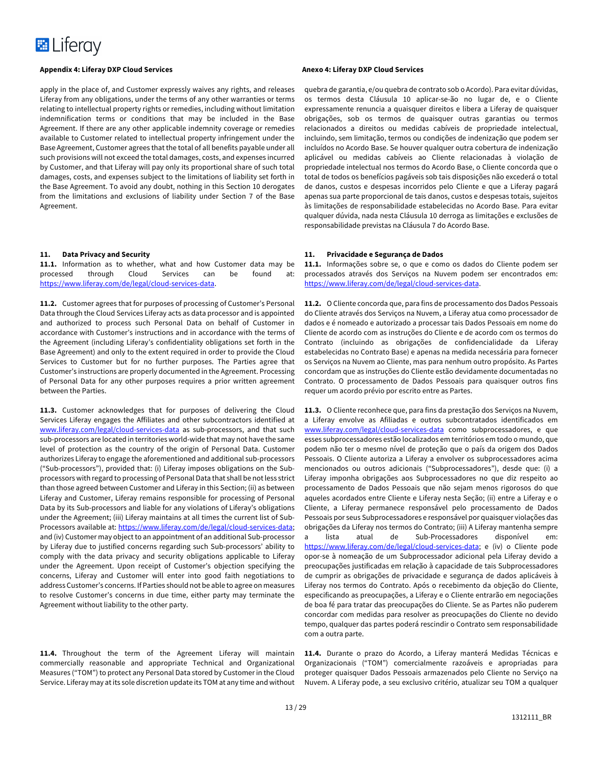

apply in the place of, and Customer expressly waives any rights, and releases Liferay from any obligations, under the terms of any other warranties or terms relating to intellectual property rights or remedies, including without limitation indemnification terms or conditions that may be included in the Base Agreement. If there are any other applicable indemnity coverage or remedies available to Customer related to intellectual property infringement under the Base Agreement, Customer agrees that the total of all benefits payable under all such provisions will not exceed the total damages, costs, and expenses incurred by Customer, and that Liferay will pay only its proportional share of such total damages, costs, and expenses subject to the limitations of liability set forth in the Base Agreement. To avoid any doubt, nothing in this Section 10 derogates from the limitations and exclusions of liability under Section 7 of the Base Agreement.

#### **11. Data Privacy and Security**

**11.1.** Information as to whether, what and how Customer data may be processed through Cloud Services can be found at: https://www.liferay.com/de/legal/cloud-services-data.

**11.2.** Customer agrees that for purposes of processing of Customer's Personal Data through the Cloud Services Liferay acts as data processor and is appointed and authorized to process such Personal Data on behalf of Customer in accordance with Customer's instructions and in accordance with the terms of the Agreement (including Liferay's confidentiality obligations set forth in the Base Agreement) and only to the extent required in order to provide the Cloud Services to Customer but for no further purposes. The Parties agree that Customer's instructions are properly documented in the Agreement. Processing of Personal Data for any other purposes requires a prior written agreement between the Parties.

**11.3.** Customer acknowledges that for purposes of delivering the Cloud Services Liferay engages the Affiliates and other subcontractors identified at www.liferay.com/legal/cloud-services-data as sub-processors, and that such sub-processors are located in territories world-wide that may not have the same level of protection as the country of the origin of Personal Data. Customer authorizes Liferay to engage the aforementioned and additional sub-processors ("Sub-processors"), provided that: (i) Liferay imposes obligations on the Subprocessors with regard to processing of Personal Data that shall be not less strict than those agreed between Customer and Liferay in this Section; (ii) as between Liferay and Customer, Liferay remains responsible for processing of Personal Data by its Sub-processors and liable for any violations of Liferay's obligations under the Agreement; (iii) Liferay maintains at all times the current list of Sub-Processors available at: https://www.liferay.com/de/legal/cloud-services-data; and (iv) Customer may object to an appointment of an additional Sub-processor by Liferay due to justified concerns regarding such Sub-processors' ability to comply with the data privacy and security obligations applicable to Liferay under the Agreement. Upon receipt of Customer's objection specifying the concerns, Liferay and Customer will enter into good faith negotiations to address Customer's concerns. If Parties should not be able to agree on measures to resolve Customer's concerns in due time, either party may terminate the Agreement without liability to the other party.

**11.4.** Throughout the term of the Agreement Liferay will maintain commercially reasonable and appropriate Technical and Organizational Measures ("TOM") to protect any Personal Data stored by Customer in the Cloud Service. Liferay may at its sole discretion update its TOM at any time and without

quebra de garantia, e/ou quebra de contrato sob o Acordo). Para evitar dúvidas, os termos desta Cláusula 10 aplicar-se-ão no lugar de, e o Cliente expressamente renuncia a quaisquer direitos e libera a Liferay de quaisquer obrigações, sob os termos de quaisquer outras garantias ou termos relacionados a direitos ou medidas cabíveis de propriedade intelectual, incluindo, sem limitação, termos ou condições de indenização que podem ser incluídos no Acordo Base. Se houver qualquer outra cobertura de indenização aplicável ou medidas cabíveis ao Cliente relacionadas à violação de propriedade intelectual nos termos do Acordo Base, o Cliente concorda que o total de todos os benefícios pagáveis sob tais disposições não excederá o total de danos, custos e despesas incorridos pelo Cliente e que a Liferay pagará apenas sua parte proporcional de tais danos, custos e despesas totais, sujeitos às limitações de responsabilidade estabelecidas no Acordo Base. Para evitar qualquer dúvida, nada nesta Cláusula 10 derroga as limitações e exclusões de responsabilidade previstas na Cláusula 7 do Acordo Base.

#### **11. Privacidade e Segurança de Dados**

**11.1.** Informações sobre se, o que e como os dados do Cliente podem ser processados através dos Serviços na Nuvem podem ser encontrados em: https://www.liferay.com/de/legal/cloud-services-data.

**11.2.** O Cliente concorda que, para fins de processamento dos Dados Pessoais do Cliente através dos Serviços na Nuvem, a Liferay atua como processador de dados e é nomeado e autorizado a processar tais Dados Pessoais em nome do Cliente de acordo com as instruções do Cliente e de acordo com os termos do Contrato (incluindo as obrigações de confidencialidade da Liferay estabelecidas no Contrato Base) e apenas na medida necessária para fornecer os Serviços na Nuvem ao Cliente, mas para nenhum outro propósito. As Partes concordam que as instruções do Cliente estão devidamente documentadas no Contrato. O processamento de Dados Pessoais para quaisquer outros fins requer um acordo prévio por escrito entre as Partes.

**11.3.** O Cliente reconhece que, para fins da prestação dos Serviços na Nuvem, a Liferay envolve as Afiliadas e outros subcontratados identificados em www.liferay.com/legal/cloud-services-data como subprocessadores, e que esses subprocessadores estão localizados em territórios em todo o mundo, que podem não ter o mesmo nível de proteção que o país da origem dos Dados Pessoais. O Cliente autoriza a Liferay a envolver os subprocessadores acima mencionados ou outros adicionais ("Subprocessadores"), desde que: (i) a Liferay imponha obrigações aos Subprocessadores no que diz respeito ao processamento de Dados Pessoais que não sejam menos rigorosos do que aqueles acordados entre Cliente e Liferay nesta Seção; (ii) entre a Liferay e o Cliente, a Liferay permanece responsável pelo processamento de Dados Pessoais por seus Subprocessadores e responsável por quaisquer violações das obrigações da Liferay nos termos do Contrato; (iii) A Liferay mantenha sempre a lista atual de Sub-Processadores disponível em: https://www.liferay.com/de/legal/cloud-services-data; e (iv) o Cliente pode opor-se à nomeação de um Subprocessador adicional pela Liferay devido a preocupações justificadas em relação à capacidade de tais Subprocessadores de cumprir as obrigações de privacidade e segurança de dados aplicáveis à Liferay nos termos do Contrato. Após o recebimento da objeção do Cliente, especificando as preocupações, a Liferay e o Cliente entrarão em negociações de boa fé para tratar das preocupações do Cliente. Se as Partes não puderem concordar com medidas para resolver as preocupações do Cliente no devido tempo, qualquer das partes poderá rescindir o Contrato sem responsabilidade com a outra parte.

**11.4.** Durante o prazo do Acordo, a Liferay manterá Medidas Técnicas e Organizacionais ("TOM") comercialmente razoáveis e apropriadas para proteger quaisquer Dados Pessoais armazenados pelo Cliente no Serviço na Nuvem. A Liferay pode, a seu exclusivo critério, atualizar seu TOM a qualquer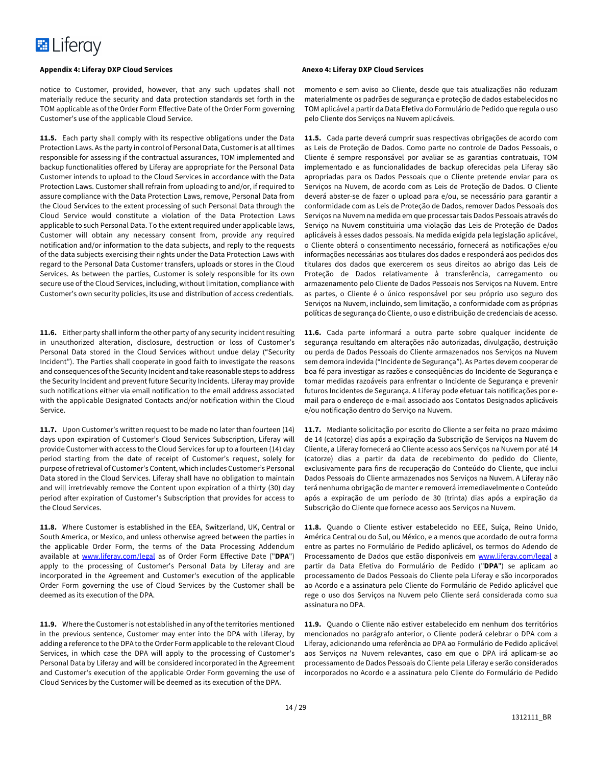

notice to Customer, provided, however, that any such updates shall not materially reduce the security and data protection standards set forth in the TOM applicable as of the Order Form Effective Date of the Order Form governing Customer's use of the applicable Cloud Service.

**11.5.** Each party shall comply with its respective obligations under the Data Protection Laws. As the party in control of Personal Data, Customer is at all times responsible for assessing if the contractual assurances, TOM implemented and backup functionalities offered by Liferay are appropriate for the Personal Data Customer intends to upload to the Cloud Services in accordance with the Data Protection Laws. Customer shall refrain from uploading to and/or, if required to assure compliance with the Data Protection Laws, remove, Personal Data from the Cloud Services to the extent processing of such Personal Data through the Cloud Service would constitute a violation of the Data Protection Laws applicable to such Personal Data. To the extent required under applicable laws, Customer will obtain any necessary consent from, provide any required notification and/or information to the data subjects, and reply to the requests of the data subjects exercising their rights under the Data Protection Laws with regard to the Personal Data Customer transfers, uploads or stores in the Cloud Services. As between the parties, Customer is solely responsible for its own secure use of the Cloud Services, including, without limitation, compliance with Customer's own security policies, its use and distribution of access credentials.

**11.6.** Either party shall inform the other party of any security incident resulting in unauthorized alteration, disclosure, destruction or loss of Customer's Personal Data stored in the Cloud Services without undue delay ("Security Incident"). The Parties shall cooperate in good faith to investigate the reasons and consequences of the Security Incident and take reasonable steps to address the Security Incident and prevent future Security Incidents. Liferay may provide such notifications either via email notification to the email address associated with the applicable Designated Contacts and/or notification within the Cloud Service.

**11.7.** Upon Customer's written request to be made no later than fourteen (14) days upon expiration of Customer's Cloud Services Subscription, Liferay will provide Customer with access to the Cloud Services for up to a fourteen (14) day period starting from the date of receipt of Customer's request, solely for purpose of retrieval of Customer's Content, which includes Customer's Personal Data stored in the Cloud Services. Liferay shall have no obligation to maintain and will irretrievably remove the Content upon expiration of a thirty (30) day period after expiration of Customer's Subscription that provides for access to the Cloud Services.

**11.8.** Where Customer is established in the EEA, Switzerland, UK, Central or South America, or Mexico, and unless otherwise agreed between the parties in the applicable Order Form, the terms of the Data Processing Addendum available at www.liferay.com/legal as of Order Form Effective Date ("**DPA**") apply to the processing of Customer's Personal Data by Liferay and are incorporated in the Agreement and Customer's execution of the applicable Order Form governing the use of Cloud Services by the Customer shall be deemed as its execution of the DPA.

**11.9.** Where the Customer is not established in any of the territories mentioned in the previous sentence, Customer may enter into the DPA with Liferay, by adding a reference to the DPA to the Order Form applicable to the relevant Cloud Services, in which case the DPA will apply to the processing of Customer's Personal Data by Liferay and will be considered incorporated in the Agreement and Customer's execution of the applicable Order Form governing the use of Cloud Services by the Customer will be deemed as its execution of the DPA.

momento e sem aviso ao Cliente, desde que tais atualizações não reduzam materialmente os padrões de segurança e proteção de dados estabelecidos no TOM aplicável a partir da Data Efetiva do Formulário de Pedido que regula o uso pelo Cliente dos Serviços na Nuvem aplicáveis.

**11.5.** Cada parte deverá cumprir suas respectivas obrigações de acordo com as Leis de Proteção de Dados. Como parte no controle de Dados Pessoais, o Cliente é sempre responsável por avaliar se as garantias contratuais, TOM implementado e as funcionalidades de backup oferecidas pela Liferay são apropriadas para os Dados Pessoais que o Cliente pretende enviar para os Serviços na Nuvem, de acordo com as Leis de Proteção de Dados. O Cliente deverá abster-se de fazer o upload para e/ou, se necessário para garantir a conformidade com as Leis de Proteção de Dados, remover Dados Pessoais dos Serviços na Nuvem na medida em que processar tais Dados Pessoais através do Serviço na Nuvem constituiria uma violação das Leis de Proteção de Dados aplicáveis à esses dados pessoais. Na medida exigida pela legislação aplicável, o Cliente obterá o consentimento necessário, fornecerá as notificações e/ou informações necessárias aos titulares dos dados e responderá aos pedidos dos titulares dos dados que exercerem os seus direitos ao abrigo das Leis de Proteção de Dados relativamente à transferência, carregamento ou armazenamento pelo Cliente de Dados Pessoais nos Serviços na Nuvem. Entre as partes, o Cliente é o único responsável por seu próprio uso seguro dos Serviços na Nuvem, incluindo, sem limitação, a conformidade com as próprias políticas de segurança do Cliente, o uso e distribuição de credenciais de acesso.

**11.6.** Cada parte informará a outra parte sobre qualquer incidente de segurança resultando em alterações não autorizadas, divulgação, destruição ou perda de Dados Pessoais do Cliente armazenados nos Serviços na Nuvem sem demora indevida ("Incidente de Segurança"). As Partes devem cooperar de boa fé para investigar as razões e conseqüências do Incidente de Segurança e tomar medidas razoáveis para enfrentar o Incidente de Segurança e prevenir futuros Incidentes de Segurança. A Liferay pode efetuar tais notificações por email para o endereço de e-mail associado aos Contatos Designados aplicáveis e/ou notificação dentro do Serviço na Nuvem.

**11.7.** Mediante solicitação por escrito do Cliente a ser feita no prazo máximo de 14 (catorze) dias após a expiração da Subscrição de Serviços na Nuvem do Cliente, a Liferay fornecerá ao Cliente acesso aos Serviços na Nuvem por até 14 (catorze) dias a partir da data de recebimento do pedido do Cliente, exclusivamente para fins de recuperação do Conteúdo do Cliente, que inclui Dados Pessoais do Cliente armazenados nos Serviços na Nuvem. A Liferay não terá nenhuma obrigação de manter e removerá irremediavelmente o Conteúdo após a expiração de um período de 30 (trinta) dias após a expiração da Subscrição do Cliente que fornece acesso aos Serviços na Nuvem.

**11.8.** Quando o Cliente estiver estabelecido no EEE, Suíça, Reino Unido, América Central ou do Sul, ou México, e a menos que acordado de outra forma entre as partes no Formulário de Pedido aplicável, os termos do Adendo de Processamento de Dados que estão disponíveis em www.liferay.com/legal a partir da Data Efetiva do Formulário de Pedido ("**DPA**") se aplicam ao processamento de Dados Pessoais do Cliente pela Liferay e são incorporados ao Acordo e a assinatura pelo Cliente do Formulário de Pedido aplicável que rege o uso dos Serviços na Nuvem pelo Cliente será considerada como sua assinatura no DPA.

**11.9.** Quando o Cliente não estiver estabelecido em nenhum dos territórios mencionados no parágrafo anterior, o Cliente poderá celebrar o DPA com a Liferay, adicionando uma referência ao DPA ao Formulário de Pedido aplicável aos Serviços na Nuvem relevantes, caso em que o DPA irá aplicam-se ao processamento de Dados Pessoais do Cliente pela Liferay e serão considerados incorporados no Acordo e a assinatura pelo Cliente do Formulário de Pedido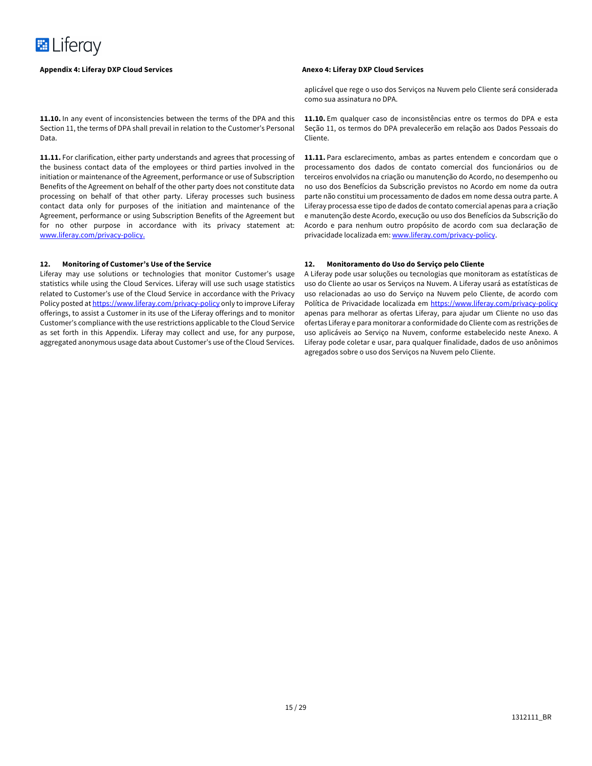

**11.10.** In any event of inconsistencies between the terms of the DPA and this Section 11, the terms of DPA shall prevail in relation to the Customer's Personal Data.

**11.11.** For clarification, either party understands and agrees that processing of the business contact data of the employees or third parties involved in the initiation or maintenance of the Agreement, performance or use of Subscription Benefits of the Agreement on behalf of the other party does not constitute data processing on behalf of that other party. Liferay processes such business contact data only for purposes of the initiation and maintenance of the Agreement, performance or using Subscription Benefits of the Agreement but for no other purpose in accordance with its privacy statement at: www.liferay.com/privacy-policy.

#### **12. Monitoring of Customer's Use of the Service**

Liferay may use solutions or technologies that monitor Customer's usage statistics while using the Cloud Services. Liferay will use such usage statistics related to Customer's use of the Cloud Service in accordance with the Privacy Policy posted at https://www.liferay.com/privacy-policy only to improve Liferay offerings, to assist a Customer in its use of the Liferay offerings and to monitor Customer's compliance with the use restrictions applicable to the Cloud Service as set forth in this Appendix. Liferay may collect and use, for any purpose, aggregated anonymous usage data about Customer's use of the Cloud Services.

aplicável que rege o uso dos Serviços na Nuvem pelo Cliente será considerada como sua assinatura no DPA.

**11.10.** Em qualquer caso de inconsistências entre os termos do DPA e esta Seção 11, os termos do DPA prevalecerão em relação aos Dados Pessoais do Cliente.

**11.11.** Para esclarecimento, ambas as partes entendem e concordam que o processamento dos dados de contato comercial dos funcionários ou de terceiros envolvidos na criação ou manutenção do Acordo, no desempenho ou no uso dos Benefícios da Subscrição previstos no Acordo em nome da outra parte não constitui um processamento de dados em nome dessa outra parte. A Liferay processa esse tipo de dados de contato comercial apenas para a criação e manutenção deste Acordo, execução ou uso dos Benefícios da Subscrição do Acordo e para nenhum outro propósito de acordo com sua declaração de privacidade localizada em: www.liferay.com/privacy-policy.

#### **12. Monitoramento do Uso do Serviço pelo Cliente**

A Liferay pode usar soluções ou tecnologias que monitoram as estatísticas de uso do Cliente ao usar os Serviços na Nuvem. A Liferay usará as estatísticas de uso relacionadas ao uso do Serviço na Nuvem pelo Cliente, de acordo com Política de Privacidade localizada em https://www.liferay.com/privacy-policy apenas para melhorar as ofertas Liferay, para ajudar um Cliente no uso das ofertas Liferay e para monitorar a conformidade do Cliente com as restrições de uso aplicáveis ao Serviço na Nuvem, conforme estabelecido neste Anexo. A Liferay pode coletar e usar, para qualquer finalidade, dados de uso anônimos agregados sobre o uso dos Serviços na Nuvem pelo Cliente.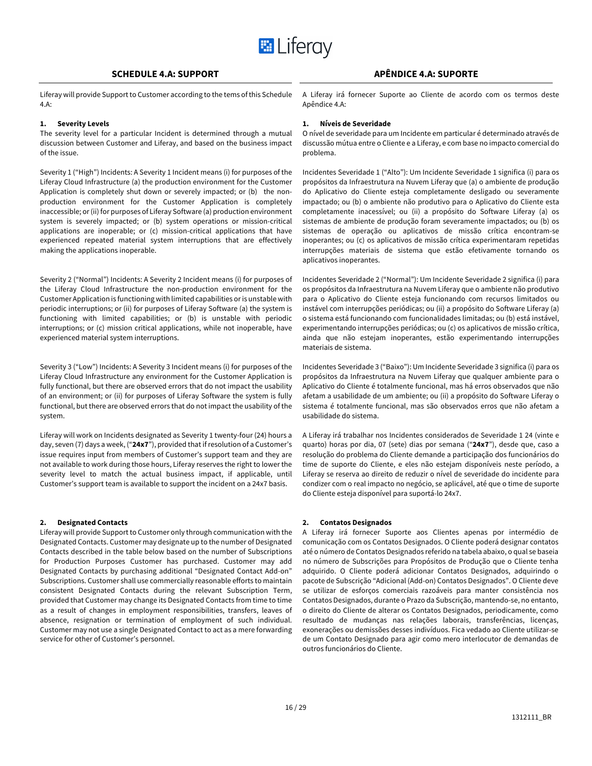

Liferay will provide Support to Customer according to the tems of this Schedule 4.A:

#### **1. Severity Levels**

The severity level for a particular Incident is determined through a mutual discussion between Customer and Liferay, and based on the business impact of the issue.

Severity 1 ("High") Incidents: A Severity 1 Incident means (i) for purposes of the Liferay Cloud Infrastructure (a) the production environment for the Customer Application is completely shut down or severely impacted; or (b) the nonproduction environment for the Customer Application is completely inaccessible; or (ii) for purposes of Liferay Software (a) production environment system is severely impacted; or (b) system operations or mission-critical applications are inoperable; or (c) mission-critical applications that have experienced repeated material system interruptions that are effectively making the applications inoperable.

Severity 2 ("Normal") Incidents: A Severity 2 Incident means (i) for purposes of the Liferay Cloud Infrastructure the non-production environment for the Customer Application is functioning with limited capabilities or is unstable with periodic interruptions; or (ii) for purposes of Liferay Software (a) the system is functioning with limited capabilities; or (b) is unstable with periodic interruptions; or (c) mission critical applications, while not inoperable, have experienced material system interruptions.

Severity 3 ("Low") Incidents: A Severity 3 Incident means (i) for purposes of the Liferay Cloud Infrastructure any environment for the Customer Application is fully functional, but there are observed errors that do not impact the usability of an environment; or (ii) for purposes of Liferay Software the system is fully functional, but there are observed errors that do not impact the usability of the system.

Liferay will work on Incidents designated as Severity 1 twenty-four (24) hours a day, seven (7) days a week, ("**24x7**"), provided that if resolution of a Customer's issue requires input from members of Customer's support team and they are not available to work during those hours, Liferay reserves the right to lower the severity level to match the actual business impact, if applicable, until Customer's support team is available to support the incident on a 24x7 basis.

#### **2. Designated Contacts**

Liferay will provide Support to Customer only through communication with the Designated Contacts. Customer may designate up to the number of Designated Contacts described in the table below based on the number of Subscriptions for Production Purposes Customer has purchased. Customer may add Designated Contacts by purchasing additional "Designated Contact Add-on" Subscriptions. Customer shall use commercially reasonable efforts to maintain consistent Designated Contacts during the relevant Subscription Term, provided that Customer may change its Designated Contacts from time to time as a result of changes in employment responsibilities, transfers, leaves of absence, resignation or termination of employment of such individual. Customer may not use a single Designated Contact to act as a mere forwarding service for other of Customer's personnel.

# **SCHEDULE 4.A: SUPPORT APÊNDICE 4.A: SUPORTE**

A Liferay irá fornecer Suporte ao Cliente de acordo com os termos deste Apêndice 4.A:

#### **1. Níveis de Severidade**

O nível de severidade para um Incidente em particular é determinado através de discussão mútua entre o Cliente e a Liferay, e com base no impacto comercial do problema.

Incidentes Severidade 1 ("Alto"): Um Incidente Severidade 1 significa (i) para os propósitos da Infraestrutura na Nuvem Liferay que (a) o ambiente de produção do Aplicativo do Cliente esteja completamente desligado ou severamente impactado; ou (b) o ambiente não produtivo para o Aplicativo do Cliente esta completamente inacessível; ou (ii) a propósito do Software Liferay (a) os sistemas de ambiente de produção foram severamente impactados; ou (b) os sistemas de operação ou aplicativos de missão crítica encontram-se inoperantes; ou (c) os aplicativos de missão crítica experimentaram repetidas interrupções materiais de sistema que estão efetivamente tornando os aplicativos inoperantes.

Incidentes Severidade 2 ("Normal"): Um Incidente Severidade 2 significa (i) para os propósitos da Infraestrutura na Nuvem Liferay que o ambiente não produtivo para o Aplicativo do Cliente esteja funcionando com recursos limitados ou instável com interrupções periódicas; ou (ii) a propósito do Software Liferay (a) o sistema está funcionando com funcionalidades limitadas; ou (b) está instável, experimentando interrupções periódicas; ou (c) os aplicativos de missão crítica, ainda que não estejam inoperantes, estão experimentando interrupções materiais de sistema.

Incidentes Severidade 3 ("Baixo"): Um Incidente Severidade 3 significa (i) para os propósitos da Infraestrutura na Nuvem Liferay que qualquer ambiente para o Aplicativo do Cliente é totalmente funcional, mas há erros observados que não afetam a usabilidade de um ambiente; ou (ii) a propósito do Software Liferay o sistema é totalmente funcional, mas são observados erros que não afetam a usabilidade do sistema.

A Liferay irá trabalhar nos Incidentes considerados de Severidade 1 24 (vinte e quarto) horas por dia, 07 (sete) dias por semana ("**24x7**"), desde que, caso a resolução do problema do Cliente demande a participação dos funcionários do time de suporte do Cliente, e eles não estejam disponíveis neste período, a Liferay se reserva ao direito de reduzir o nível de severidade do incidente para condizer com o real impacto no negócio, se aplicável, até que o time de suporte do Cliente esteja disponível para suportá-lo 24x7.

### **2. Contatos Designados**

A Liferay irá fornecer Suporte aos Clientes apenas por intermédio de comunicação com os Contatos Designados. O Cliente poderá designar contatos até o número de Contatos Designados referido na tabela abaixo, o qual se baseia no número de Subscrições para Propósitos de Produção que o Cliente tenha adquirido. O Cliente poderá adicionar Contatos Designados, adquirindo o pacote de Subscrição "Adicional (Add-on) Contatos Designados". O Cliente deve se utilizar de esforços comerciais razoáveis para manter consistência nos Contatos Designados, durante o Prazo da Subscrição, mantendo-se, no entanto, o direito do Cliente de alterar os Contatos Designados, periodicamente, como resultado de mudanças nas relações laborais, transferências, licenças, exonerações ou demissões desses indivíduos. Fica vedado ao Cliente utilizar-se de um Contato Designado para agir como mero interlocutor de demandas de outros funcionários do Cliente.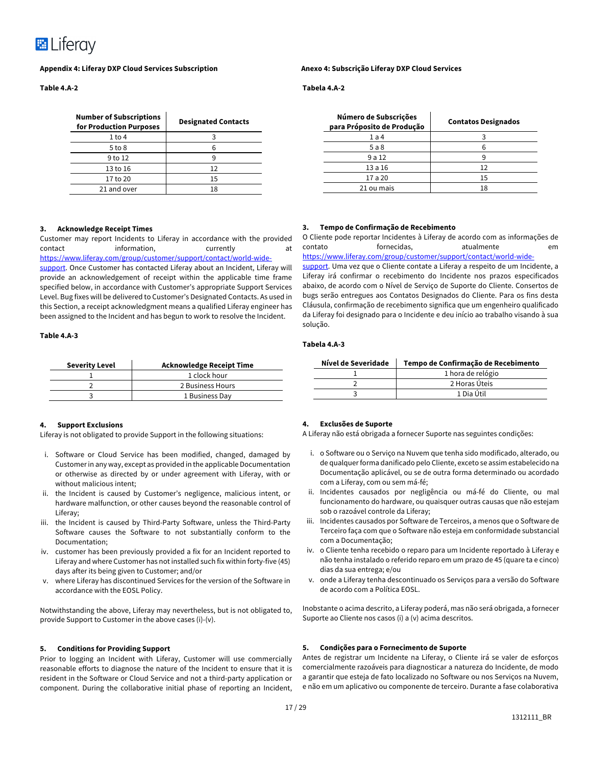

**Table 4.A-2**

| <b>Number of Subscriptions</b><br>for Production Purposes | <b>Designated Contacts</b> |
|-----------------------------------------------------------|----------------------------|
| 1 to 4                                                    |                            |
| $5$ to $8$                                                | հ                          |
| $9$ to 12                                                 |                            |
| 13 to 16                                                  | 12                         |
| 17 to 20                                                  | 15                         |
| 21 and over                                               | 18                         |

**3. Tempo de Confirmação de Recebimento**

#### **Tabela 4.A-2**

| Número de Subscrições<br>para Próposito de Produção | <b>Contatos Designados</b> |
|-----------------------------------------------------|----------------------------|
| 1a4                                                 |                            |
| 5a8                                                 |                            |
| 9a12                                                |                            |
| 13a16                                               | 12                         |
| 17 a 20                                             | 15                         |
| 21 ou mais                                          | 18                         |

O Cliente pode reportar Incidentes à Liferay de acordo com as informações de contato fornecidas, atualmente em https://www.liferay.com/group/customer/support/contact/world-widesupport. Uma vez que o Cliente contate a Liferay a respeito de um Incidente, a Liferay irá confirmar o recebimento do Incidente nos prazos especificados abaixo, de acordo com o Nível de Serviço de Suporte do Cliente. Consertos de bugs serão entregues aos Contatos Designados do Cliente. Para os fins desta Cláusula, confirmação de recebimento significa que um engenheiro qualificado da Liferay foi designado para o Incidente e deu início ao trabalho visando à sua

#### **3. Acknowledge Receipt Times**

Customer may report Incidents to Liferay in accordance with the provided contact information, currently at https://www.liferay.com/group/customer/support/contact/world-wide-

support. Once Customer has contacted Liferay about an Incident, Liferay will provide an acknowledgement of receipt within the applicable time frame specified below, in accordance with Customer's appropriate Support Services Level. Bug fixes will be delivered to Customer's Designated Contacts. As used in this Section, a receipt acknowledgment means a qualified Liferay engineer has been assigned to the Incident and has begun to work to resolve the Incident.

#### **Table 4.A-3**

#### **Tabela 4.A-3**

solução.

| Severity Level | Acknowledge Receipt Time       | Nível de Severidade | Tempo de Confirmação de Recebimento |
|----------------|--------------------------------|---------------------|-------------------------------------|
|                | $\scriptstyle\pm$ clock hour . |                     | 1 hora de relógio                   |
|                | 2 Business Hours               |                     | 2 Horas Úteis                       |
|                | L Business Dav                 |                     | L Dia Útil                          |

#### **4. Support Exclusions**

Liferay is not obligated to provide Support in the following situations:

- i. Software or Cloud Service has been modified, changed, damaged by Customer in any way, except as provided in the applicable Documentation or otherwise as directed by or under agreement with Liferay, with or without malicious intent:
- ii. the Incident is caused by Customer's negligence, malicious intent, or hardware malfunction, or other causes beyond the reasonable control of Liferay;
- iii. the Incident is caused by Third-Party Software, unless the Third-Party Software causes the Software to not substantially conform to the Documentation;
- iv. customer has been previously provided a fix for an Incident reported to Liferay and where Customer has not installed such fix within forty-five (45) days after its being given to Customer; and/or
- v. where Liferay has discontinued Services for the version of the Software in accordance with the EOSL Policy.

Notwithstanding the above, Liferay may nevertheless, but is not obligated to, provide Support to Customer in the above cases (i)-(v).

#### **5. Conditions for Providing Support**

Prior to logging an Incident with Liferay, Customer will use commercially reasonable efforts to diagnose the nature of the Incident to ensure that it is resident in the Software or Cloud Service and not a third-party application or component. During the collaborative initial phase of reporting an Incident,

#### **4. Exclusões de Suporte**

A Liferay não está obrigada a fornecer Suporte nas seguintes condições:

i. o Software ou o Serviço na Nuvem que tenha sido modificado, alterado, ou de qualquer forma danificado pelo Cliente, exceto se assim estabelecido na Documentação aplicável, ou se de outra forma determinado ou acordado com a Liferay, com ou sem má-fé;

- ii. Incidentes causados por negligência ou má-fé do Cliente, ou mal funcionamento do hardware, ou quaisquer outras causas que não estejam sob o razoável controle da Liferay;
- iii. Incidentes causados por Software de Terceiros, a menos que o Software de Terceiro faça com que o Software não esteja em conformidade substancial com a Documentação;
- iv. o Cliente tenha recebido o reparo para um Incidente reportado à Liferay e não tenha instalado o referido reparo em um prazo de 45 (quare ta e cinco) dias da sua entrega; e/ou
- v. onde a Liferay tenha descontinuado os Serviços para a versão do Software de acordo com a Política EOSL.

Inobstante o acima descrito, a Liferay poderá, mas não será obrigada, a fornecer Suporte ao Cliente nos casos (i) a (v) acima descritos.

#### **5. Condições para o Fornecimento de Suporte**

Antes de registrar um Incidente na Liferay, o Cliente irá se valer de esforços comercialmente razoáveis para diagnosticar a natureza do Incidente, de modo a garantir que esteja de fato localizado no Software ou nos Serviços na Nuvem, e não em um aplicativo ou componente de terceiro. Durante a fase colaborativa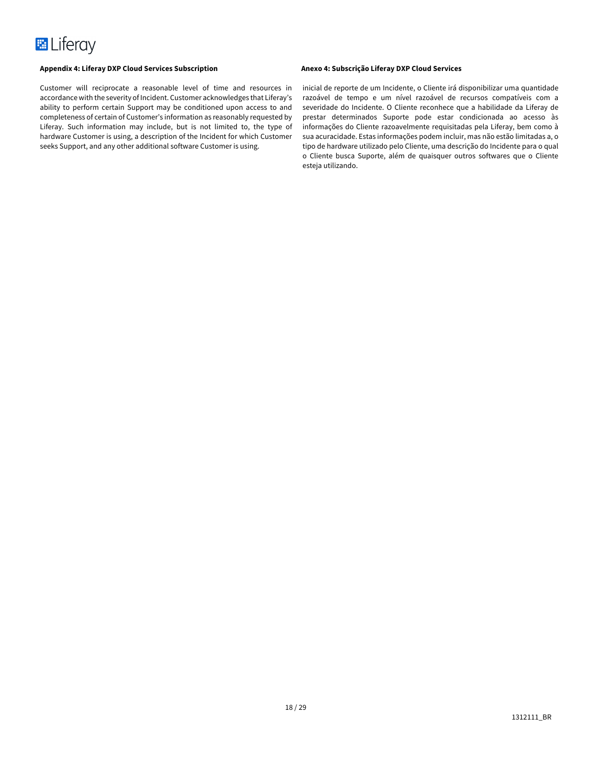Customer will reciprocate a reasonable level of time and resources in accordance with the severity of Incident. Customer acknowledges that Liferay's ability to perform certain Support may be conditioned upon access to and completeness of certain of Customer's information as reasonably requested by Liferay. Such information may include, but is not limited to, the type of hardware Customer is using, a description of the Incident for which Customer seeks Support, and any other additional software Customer is using.

inicial de reporte de um Incidente, o Cliente irá disponibilizar uma quantidade razoável de tempo e um nível razoável de recursos compatíveis com a severidade do Incidente. O Cliente reconhece que a habilidade da Liferay de prestar determinados Suporte pode estar condicionada ao acesso às informações do Cliente razoavelmente requisitadas pela Liferay, bem como à sua acuracidade. Estas informações podem incluir, mas não estão limitadas a, o tipo de hardware utilizado pelo Cliente, uma descrição do Incidente para o qual o Cliente busca Suporte, além de quaisquer outros softwares que o Cliente esteja utilizando.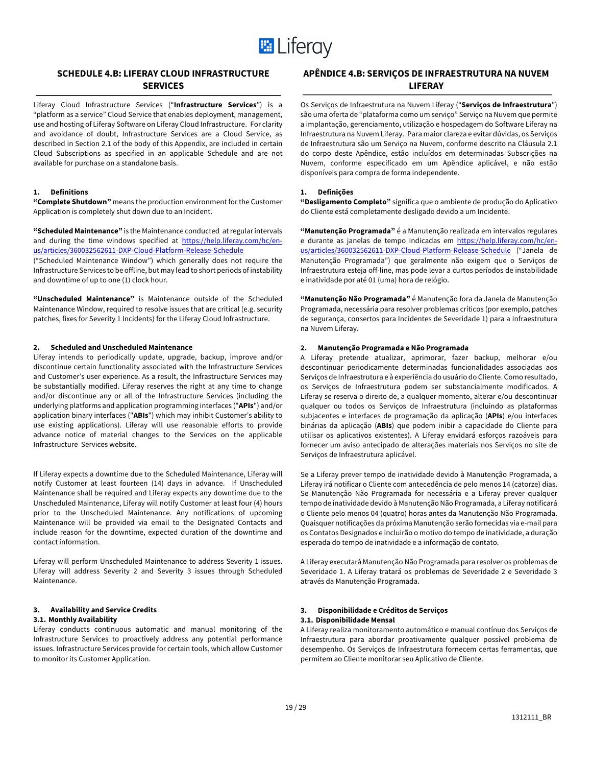

# **SCHEDULE 4.B: LIFERAY CLOUD INFRASTRUCTURE SERVICES**

Liferay Cloud Infrastructure Services ("**Infrastructure Services**") is a "platform as a service" Cloud Service that enables deployment, management, use and hosting of Liferay Software on Liferay Cloud Infrastructure. For clarity and avoidance of doubt, Infrastructure Services are a Cloud Service, as described in Section 2.1 of the body of this Appendix, are included in certain Cloud Subscriptions as specified in an applicable Schedule and are not available for purchase on a standalone basis.

# **1. Definitions**

**"Complete Shutdown"** means the production environment for the Customer Application is completely shut down due to an Incident.

**"Scheduled Maintenance"** is the Maintenance conducted at regular intervals and during the time windows specified at https://help.liferay.com/hc/enus/articles/360032562611-DXP-Cloud-Platform-Release-Schedule

("Scheduled Maintenance Window") which generally does not require the Infrastructure Services to be offline, but may lead to short periods of instability and downtime of up to one (1) clock hour.

**"Unscheduled Maintenance"** is Maintenance outside of the Scheduled Maintenance Window, required to resolve issues that are critical (e.g. security patches, fixes for Severity 1 Incidents) for the Liferay Cloud Infrastructure.

#### **2. Scheduled and Unscheduled Maintenance**

Liferay intends to periodically update, upgrade, backup, improve and/or discontinue certain functionality associated with the Infrastructure Services and Customer's user experience. As a result, the Infrastructure Services may be substantially modified. Liferay reserves the right at any time to change and/or discontinue any or all of the Infrastructure Services (including the underlying platforms and application programming interfaces ("**APIs**") and/or application binary interfaces ("**ABIs**") which may inhibit Customer's ability to use existing applications). Liferay will use reasonable efforts to provide advance notice of material changes to the Services on the applicable Infrastructure Services website.

If Liferay expects a downtime due to the Scheduled Maintenance, Liferay will notify Customer at least fourteen (14) days in advance. If Unscheduled Maintenance shall be required and Liferay expects any downtime due to the Unscheduled Maintenance, Liferay will notify Customer at least four (4) hours prior to the Unscheduled Maintenance. Any notifications of upcoming Maintenance will be provided via email to the Designated Contacts and include reason for the downtime, expected duration of the downtime and contact information.

Liferay will perform Unscheduled Maintenance to address Severity 1 issues. Liferay will address Severity 2 and Severity 3 issues through Scheduled Maintenance.

### **3. Availability and Service Credits**

#### **3.1. Monthly Availability**

Liferay conducts continuous automatic and manual monitoring of the Infrastructure Services to proactively address any potential performance issues. Infrastructure Services provide for certain tools, which allow Customer to monitor its Customer Application.

# **APÊNDICE 4.B: SERVIÇOS DE INFRAESTRUTURA NA NUVEM LIFERAY**

Os Serviços de Infraestrutura na Nuvem Liferay ("**Serviços de Infraestrutura**") são uma oferta de "plataforma como um serviço" Serviço na Nuvem que permite a implantação, gerenciamento, utilização e hospedagem do Software Liferay na Infraestrutura na Nuvem Liferay. Para maior clareza e evitar dúvidas, os Serviços de Infraestrutura são um Serviço na Nuvem, conforme descrito na Cláusula 2.1 do corpo deste Apêndice, estão incluídos em determinadas Subscrições na Nuvem, conforme especificado em um Apêndice aplicável, e não estão disponíveis para compra de forma independente.

## **1. Definições**

**"Desligamento Completo"** significa que o ambiente de produção do Aplicativo do Cliente está completamente desligado devido a um Incidente.

**"Manutenção Programada"** é a Manutenção realizada em intervalos regulares e durante as janelas de tempo indicadas em https://help.liferay.com/hc/enus/articles/360032562611-DXP-Cloud-Platform-Release-Schedule ("Janela de Manutenção Programada") que geralmente não exigem que o Serviços de Infraestrutura esteja off-line, mas pode levar a curtos períodos de instabilidade e inatividade por até 01 (uma) hora de relógio.

**"Manutenção Não Programada"** é Manutenção fora da Janela de Manutenção Programada, necessária para resolver problemas críticos (por exemplo, patches de segurança, consertos para Incidentes de Severidade 1) para a Infraestrutura na Nuvem Liferay.

#### **2. Manutenção Programada e Não Programada**

A Liferay pretende atualizar, aprimorar, fazer backup, melhorar e/ou descontinuar periodicamente determinadas funcionalidades associadas aos Serviços de Infraestrutura e à experiência do usuário do Cliente. Como resultado, os Serviços de Infraestrutura podem ser substancialmente modificados. A Liferay se reserva o direito de, a qualquer momento, alterar e/ou descontinuar qualquer ou todos os Serviços de Infraestrutura (incluindo as plataformas subjacentes e interfaces de programação da aplicação (**APIs**) e/ou interfaces binárias da aplicação (**ABIs**) que podem inibir a capacidade do Cliente para utilisar os aplicativos existentes). A Liferay envidará esforços razoáveis para fornecer um aviso antecipado de alterações materiais nos Serviços no site de Serviços de Infraestrutura aplicável.

Se a Liferay prever tempo de inatividade devido à Manutenção Programada, a Liferay irá notificar o Cliente com antecedência de pelo menos 14 (catorze) dias. Se Manutenção Não Programada for necessária e a Liferay prever qualquer tempo de inatividade devido à Manutenção Não Programada, a Liferay notificará o Cliente pelo menos 04 (quatro) horas antes da Manutenção Não Programada. Quaisquer notificações da próxima Manutenção serão fornecidas via e-mail para os Contatos Designados e incluirão o motivo do tempo de inatividade, a duração esperada do tempo de inatividade e a informação de contato.

A Liferay executará Manutenção Não Programada para resolver os problemas de Severidade 1. A Liferay tratará os problemas de Severidade 2 e Severidade 3 através da Manutenção Programada.

### **3. Disponibilidade e Créditos de Serviços**

#### **3.1. Disponibilidade Mensal**

A Liferay realiza monitoramento automático e manual contínuo dos Serviços de Infraestrutura para abordar proativamente qualquer possível problema de desempenho. Os Serviços de Infraestrutura fornecem certas ferramentas, que permitem ao Cliente monitorar seu Aplicativo de Cliente.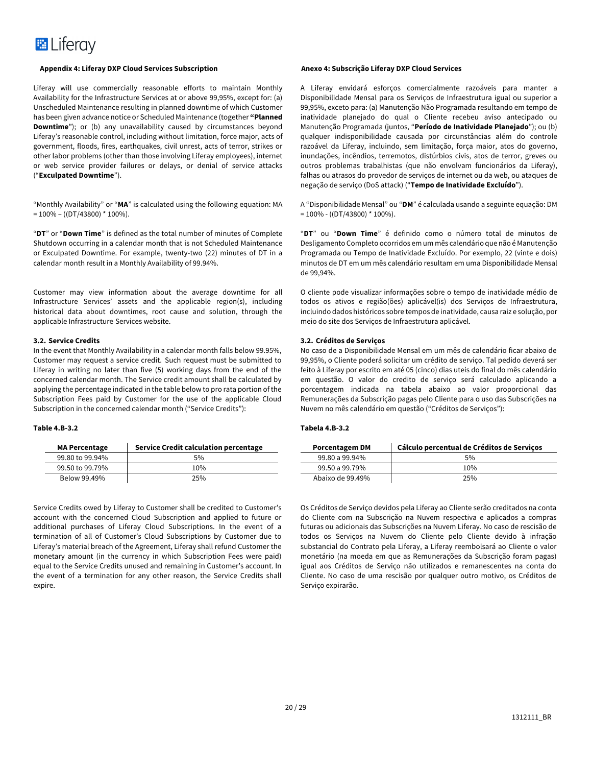### **Appendix 4: Liferay DXP Cloud Services Subscription Anexo 4: Subscrição Liferay DXP Cloud Services**

Liferay will use commercially reasonable efforts to maintain Monthly Availability for the Infrastructure Services at or above 99,95%, except for: (a) Unscheduled Maintenance resulting in planned downtime of which Customer has been given advance notice or Scheduled Maintenance (together **"Planned Downtime**"); or (b) any unavailability caused by circumstances beyond Liferay's reasonable control, including without limitation, force major, acts of government, floods, fires, earthquakes, civil unrest, acts of terror, strikes or other labor problems (other than those involving Liferay employees), internet or web service provider failures or delays, or denial of service attacks ("**Exculpated Downtime**").

"Monthly Availability" or "**MA**" is calculated using the following equation: MA  $= 100\% - ((DT/43800) * 100\%).$ 

"**DT**" or "**Down Time**" is defined as the total number of minutes of Complete Shutdown occurring in a calendar month that is not Scheduled Maintenance or Exculpated Downtime. For example, twenty-two (22) minutes of DT in a calendar month result in a Monthly Availability of 99.94%.

Customer may view information about the average downtime for all Infrastructure Services' assets and the applicable region(s), including historical data about downtimes, root cause and solution, through the applicable Infrastructure Services website.

### **3.2. Service Credits**

In the event that Monthly Availability in a calendar month falls below 99.95%, Customer may request a service credit. Such request must be submitted to Liferay in writing no later than five (5) working days from the end of the concerned calendar month. The Service credit amount shall be calculated by applying the percentage indicated in the table below to pro rata portion of the Subscription Fees paid by Customer for the use of the applicable Cloud Subscription in the concerned calendar month ("Service Credits"):

#### **Table 4.B-3.2**

| <b>MA Percentage</b> | <b>Service Credit calculation percentage</b> |
|----------------------|----------------------------------------------|
| 99.80 to 99.94%      | 5%                                           |
| 99.50 to 99.79%      | 10%                                          |
| Below 99.49%         | 25%                                          |

Service Credits owed by Liferay to Customer shall be credited to Customer's account with the concerned Cloud Subscription and applied to future or additional purchases of Liferay Cloud Subscriptions. In the event of a termination of all of Customer's Cloud Subscriptions by Customer due to Liferay's material breach of the Agreement, Liferay shall refund Customer the monetary amount (in the currency in which Subscription Fees were paid) equal to the Service Credits unused and remaining in Customer's account. In the event of a termination for any other reason, the Service Credits shall expire.

A Liferay envidará esforços comercialmente razoáveis para manter a Disponibilidade Mensal para os Serviços de Infraestrutura igual ou superior a 99,95%, exceto para: (a) Manutenção Não Programada resultando em tempo de inatividade planejado do qual o Cliente recebeu aviso antecipado ou Manutenção Programada (juntos, "**Período de Inatividade Planejado**"); ou (b) qualquer indisponibilidade causada por circunstâncias além do controle razoável da Liferay, incluindo, sem limitação, força maior, atos do governo, inundações, incêndios, terremotos, distúrbios civis, atos de terror, greves ou outros problemas trabalhistas (que não envolvam funcionários da Liferay), falhas ou atrasos do provedor de serviços de internet ou da web, ou ataques de negação de serviço (DoS attack) ("**Tempo de Inatividade Excluído**").

A "Disponibilidade Mensal" ou "**DM**" é calculada usando a seguinte equação: DM  $= 100\% - ((DT/43800)^* 100\%).$ 

"**DT**" ou "**Down Time**" é definido como o número total de minutos de Desligamento Completo ocorridos em um mês calendário que não é Manutenção Programada ou Tempo de Inatividade Excluído. Por exemplo, 22 (vinte e dois) minutos de DT em um mês calendário resultam em uma Disponibilidade Mensal de 99,94%.

O cliente pode visualizar informações sobre o tempo de inatividade médio de todos os ativos e região(ões) aplicável(is) dos Serviços de Infraestrutura, incluindo dados históricos sobre tempos de inatividade, causa raiz e solução, por meio do site dos Serviços de Infraestrutura aplicável.

### **3.2. Créditos de Serviços**

No caso de a Disponibilidade Mensal em um mês de calendário ficar abaixo de 99,95%, o Cliente poderá solicitar um crédito de serviço. Tal pedido deverá ser feito à Liferay por escrito em até 05 (cinco) dias uteis do final do mês calendário em questão. O valor do credito de serviço será calculado aplicando a porcentagem indicada na tabela abaixo ao valor proporcional das Remunerações da Subscrição pagas pelo Cliente para o uso das Subscrições na Nuvem no mês calendário em questão ("Créditos de Serviços"):

### **Tabela 4.B-3.2**

| <b>Porcentagem DM</b> | Cálculo percentual de Créditos de Serviços |
|-----------------------|--------------------------------------------|
| 99.80 a 99.94%        | 5%                                         |
| 99.50 a 99.79%        | 10%                                        |
| Abaixo de 99.49%      | 25%                                        |

Os Créditos de Serviço devidos pela Liferay ao Cliente serão creditados na conta do Cliente com na Subscrição na Nuvem respectiva e aplicados a compras futuras ou adicionais das Subscrições na Nuvem Liferay. No caso de rescisão de todos os Serviços na Nuvem do Cliente pelo Cliente devido à infração substancial do Contrato pela Liferay, a Liferay reembolsará ao Cliente o valor monetário (na moeda em que as Remunerações da Subscrição foram pagas) igual aos Créditos de Serviço não utilizados e remanescentes na conta do Cliente. No caso de uma rescisão por qualquer outro motivo, os Créditos de Serviço expirarão.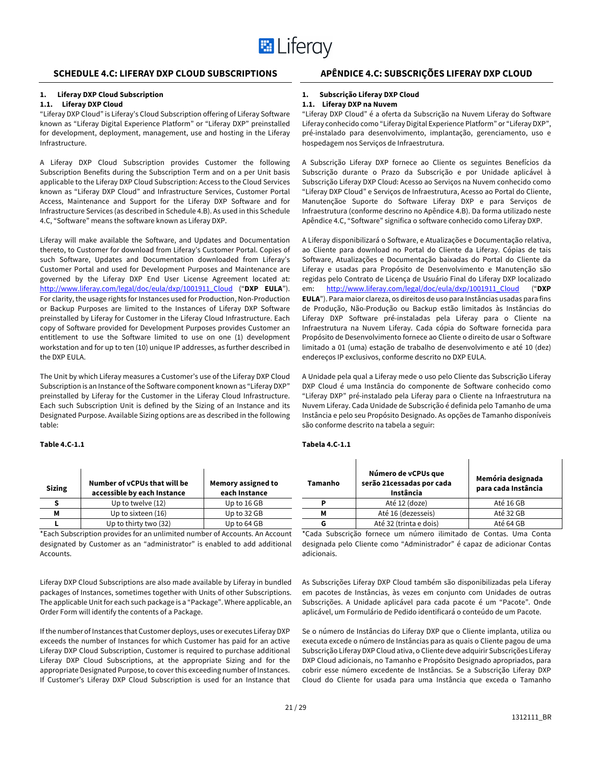

# **SCHEDULE 4.C: LIFERAY DXP CLOUD SUBSCRIPTIONS APÊNDICE 4.C: SUBSCRIÇÕES LIFERAY DXP CLOUD**

## **1. Liferay DXP Cloud Subscription**

#### **1.1. Liferay DXP Cloud**

"Liferay DXP Cloud" is Liferay's Cloud Subscription offering of Liferay Software known as "Liferay Digital Experience Platform" or "Liferay DXP" preinstalled for development, deployment, management, use and hosting in the Liferay Infrastructure.

A Liferay DXP Cloud Subscription provides Customer the following Subscription Benefits during the Subscription Term and on a per Unit basis applicable to the Liferay DXP Cloud Subscription: Access to the Cloud Services known as "Liferay DXP Cloud" and Infrastructure Services, Customer Portal Access, Maintenance and Support for the Liferay DXP Software and for Infrastructure Services (as described in Schedule 4.B). As used in this Schedule 4.C, "Software" means the software known as Liferay DXP.

Liferay will make available the Software, and Updates and Documentation thereto, to Customer for download from Liferay's Customer Portal. Copies of such Software, Updates and Documentation downloaded from Liferay's Customer Portal and used for Development Purposes and Maintenance are governed by the Liferay DXP End User License Agreement located at: http://www.liferay.com/legal/doc/eula/dxp/1001911\_Cloud ("**DXP EULA**"). For clarity, the usage rights for Instances used for Production, Non-Production or Backup Purposes are limited to the Instances of Liferay DXP Software preinstalled by Liferay for Customer in the Liferay Cloud Infrastructure. Each copy of Software provided for Development Purposes provides Customer an entitlement to use the Software limited to use on one (1) development workstation and for up to ten (10) unique IP addresses, as further described in the DXP EULA.

The Unit by which Liferay measures a Customer's use of the Liferay DXP Cloud Subscription is an Instance of the Software component known as "Liferay DXP" preinstalled by Liferay for the Customer in the Liferay Cloud Infrastructure. Each such Subscription Unit is defined by the Sizing of an Instance and its Designated Purpose. Available Sizing options are as described in the following table:

#### **Table 4.C-1.1**

| <b>Sizing</b> | Number of vCPUs that will be<br>accessible by each Instance | Memory assigned to<br>each Instance |
|---------------|-------------------------------------------------------------|-------------------------------------|
|               | Up to twelve (12)                                           | Up to 16 GB                         |
| м             | Up to sixteen (16)                                          | Up to 32 GB                         |
|               | Up to thirty two (32)                                       | Up to 64 GB                         |

\*Each Subscription provides for an unlimited number of Accounts. An Account designated by Customer as an "administrator" is enabled to add additional Accounts.

Liferay DXP Cloud Subscriptions are also made available by Liferay in bundled packages of Instances, sometimes together with Units of other Subscriptions. The applicable Unit for each such package is a "Package". Where applicable, an Order Form will identify the contents of a Package.

If the number of Instances that Customer deploys, uses or executes Liferay DXP exceeds the number of Instances for which Customer has paid for an active Liferay DXP Cloud Subscription, Customer is required to purchase additional Liferay DXP Cloud Subscriptions, at the appropriate Sizing and for the appropriate Designated Purpose, to cover this exceeding number of Instances. If Customer's Liferay DXP Cloud Subscription is used for an Instance that

#### **1. Subscrição Liferay DXP Cloud**

#### **1.1. Liferay DXP na Nuvem**

"Liferay DXP Cloud" é a oferta da Subscrição na Nuvem Liferay do Software Liferay conhecido como "Liferay Digital Experience Platform" or "Liferay DXP", pré-instalado para desenvolvimento, implantação, gerenciamento, uso e hospedagem nos Serviços de Infraestrutura.

A Subscrição Liferay DXP fornece ao Cliente os seguintes Benefícios da Subscrição durante o Prazo da Subscrição e por Unidade aplicável à Subscrição Liferay DXP Cloud: Acesso ao Serviços na Nuvem conhecido como "Liferay DXP Cloud" e Serviços de Infraestrutura, Acesso ao Portal do Cliente, Manutençãoe Suporte do Software Liferay DXP e para Serviços de Infraestrutura (conforme descrino no Apêndice 4.B). Da forma utilizado neste Apêndice 4.C, "Software" significa o software conhecido como Liferay DXP.

A Liferay disponibilizará o Software, e Atualizações e Documentação relativa, ao Cliente para download no Portal do Cliente da Liferay. Cópias de tais Software, Atualizações e Documentação baixadas do Portal do Cliente da Liferay e usadas para Propósito de Desenvolvimento e Manutenção são regidas pelo Contrato de Licença de Usuário Final do Liferay DXP localizado em: http://www.liferay.com/legal/doc/eula/dxp/1001911\_Cloud ("**DXP EULA**"). Para maior clareza, os direitos de uso para Instâncias usadas para fins de Produção, Não-Produção ou Backup estão limitados às Instâncias do Liferay DXP Software pré-instaladas pela Liferay para o Cliente na Infraestrutura na Nuvem Liferay. Cada cópia do Software fornecida para Propósito de Desenvolvimento fornece ao Cliente o direito de usar o Software limitado a 01 (uma) estação de trabalho de desenvolvimento e até 10 (dez) endereços IP exclusivos, conforme descrito no DXP EULA.

A Unidade pela qual a Liferay mede o uso pelo Cliente das Subscrição Liferay DXP Cloud é uma Instância do componente de Software conhecido como "Liferay DXP" pré-instalado pela Liferay para o Cliente na Infraestrutura na Nuvem Liferay. Cada Unidade de Subscrição é definida pelo Tamanho de uma Instância e pelo seu Propósito Designado. As opções de Tamanho disponíveis são conforme descrito na tabela a seguir:

#### **Tabela 4.C-1.1**

| <b>Tamanho</b> | Número de vCPUs que<br>serão 21 cessadas por cada<br>Instância | Memória designada<br>para cada Instância |
|----------------|----------------------------------------------------------------|------------------------------------------|
| D              | Até 12 (doze)                                                  | Até 16 GB                                |
| м              | Até 16 (dezesseis)                                             | Até 32 GB                                |
|                | Até 32 (trinta e dois)                                         | Até 64 GB                                |

\*Cada Subscrição fornece um número ilimitado de Contas. Uma Conta designada pelo Cliente como "Administrador" é capaz de adicionar Contas adicionais.

As Subscrições Liferay DXP Cloud também são disponibilizadas pela Liferay em pacotes de Instâncias, às vezes em conjunto com Unidades de outras Subscrições. A Unidade aplicável para cada pacote é um "Pacote". Onde aplicável, um Formulário de Pedido identificará o conteúdo de um Pacote.

Se o número de Instâncias do Liferay DXP que o Cliente implanta, utiliza ou executa excede o número de Instâncias para as quais o Cliente pagou de uma Subscrição Liferay DXP Cloud ativa, o Cliente deve adquirir Subscrições Liferay DXP Cloud adicionais, no Tamanho e Propósito Designado apropriados, para cobrir esse número excedente de Instâncias. Se a Subscrição Liferay DXP Cloud do Cliente for usada para uma Instância que exceda o Tamanho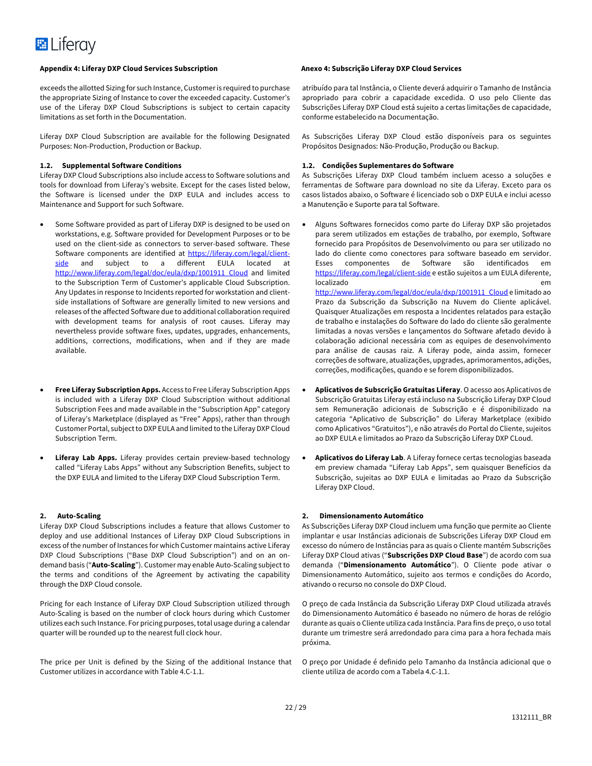exceeds the allotted Sizing for such Instance, Customer is required to purchase the appropriate Sizing of Instance to cover the exceeded capacity. Customer's use of the Liferay DXP Cloud Subscriptions is subject to certain capacity limitations as set forth in the Documentation.

Liferay DXP Cloud Subscription are available for the following Designated Purposes: Non-Production, Production or Backup.

#### **1.2. Supplemental Software Conditions**

Liferay DXP Cloud Subscriptions also include access to Software solutions and tools for download from Liferay's website. Except for the cases listed below, the Software is licensed under the DXP EULA and includes access to Maintenance and Support for such Software.

- Some Software provided as part of Liferay DXP is designed to be used on workstations, e.g. Software provided for Development Purposes or to be used on the client-side as connectors to server-based software. These Software components are identified at https://liferay.com/legal/clientside and subject to a different EULA located at http://www.liferay.com/legal/doc/eula/dxp/1001911\_Cloud and limited to the Subscription Term of Customer's applicable Cloud Subscription. Any Updates in response to Incidents reported for workstation and clientside installations of Software are generally limited to new versions and releases of the affected Software due to additional collaboration required with development teams for analysis of root causes. Liferay may nevertheless provide software fixes, updates, upgrades, enhancements, additions, corrections, modifications, when and if they are made available.
- **Free Liferay Subscription Apps.** Access to Free Liferay Subscription Apps is included with a Liferay DXP Cloud Subscription without additional Subscription Fees and made available in the "Subscription App" category of Liferay's Marketplace (displayed as "Free" Apps), rather than through Customer Portal, subject to DXP EULA and limited to the Liferay DXP Cloud Subscription Term.
- **Liferay Lab Apps.** Liferay provides certain preview-based technology called "Liferay Labs Apps" without any Subscription Benefits, subject to the DXP EULA and limited to the Liferay DXP Cloud Subscription Term.

#### **2. Auto-Scaling**

Liferay DXP Cloud Subscriptions includes a feature that allows Customer to deploy and use additional Instances of Liferay DXP Cloud Subscriptions in excess of the number of Instances for which Customer maintains active Liferay DXP Cloud Subscriptions ("Base DXP Cloud Subscription") and on an ondemand basis ("**Auto-Scaling**"). Customer may enable Auto-Scaling subject to the terms and conditions of the Agreement by activating the capability through the DXP Cloud console.

Pricing for each Instance of Liferay DXP Cloud Subscription utilized through Auto-Scaling is based on the number of clock hours during which Customer utilizes each such Instance. For pricing purposes, total usage during a calendar quarter will be rounded up to the nearest full clock hour.

The price per Unit is defined by the Sizing of the additional Instance that Customer utilizes in accordance with Table 4.C-1.1.

atribuído para tal Instância, o Cliente deverá adquirir o Tamanho de Instância apropriado para cobrir a capacidade excedida. O uso pelo Cliente das Subscrições Liferay DXP Cloud está sujeito a certas limitações de capacidade, conforme estabelecido na Documentação.

As Subscrições Liferay DXP Cloud estão disponíveis para os seguintes Propósitos Designados: Não-Produção, Produção ou Backup.

#### **1.2. Condições Suplementares do Software**

As Subscrições Liferay DXP Cloud também incluem acesso a soluções e ferramentas de Software para download no site da Liferay. Exceto para os casos listados abaixo, o Software é licenciado sob o DXP EULA e inclui acesso a Manutenção e Suporte para tal Software.

- Alguns Softwares fornecidos como parte do Liferay DXP são projetados para serem utilizados em estações de trabalho, por exemplo, Software fornecido para Propósitos de Desenvolvimento ou para ser utilizado no lado do cliente como conectores para software baseado em servidor. Esses componentes de Software são identificados em https://liferay.com/legal/client-side e estão sujeitos a um EULA diferente, localizado em http://www.liferay.com/legal/doc/eula/dxp/1001911\_Cloud e limitado ao Prazo da Subscrição da Subscrição na Nuvem do Cliente aplicável. Quaisquer Atualizações em resposta a Incidentes relatados para estação de trabalho e instalações do Software do lado do cliente são geralmente limitadas a novas versões e lançamentos do Software afetado devido à colaboração adicional necessária com as equipes de desenvolvimento para análise de causas raiz. A Liferay pode, ainda assim, fornecer correções de software, atualizações, upgrades, aprimoramentos, adições, correções, modificações, quando e se forem disponibilizados.
- **Aplicativos de Subscrição Gratuitas Liferay**. O acesso aos Aplicativos de Subscrição Gratuitas Liferay está incluso na Subscrição Liferay DXP Cloud sem Remuneração adicionais de Subscrição e é disponibilizado na categoria "Aplicativo de Subscrição" do Liferay Marketplace (exibido como Aplicativos "Gratuitos"), e não através do Portal do Cliente, sujeitos ao DXP EULA e limitados ao Prazo da Subscrição Liferay DXP CLoud.
- **Aplicativos do Liferay Lab**. A Liferay fornece certas tecnologias baseada em preview chamada "Liferay Lab Apps", sem quaisquer Benefícios da Subscrição, sujeitas ao DXP EULA e limitadas ao Prazo da Subscrição Liferay DXP Cloud.

#### **2. Dimensionamento Automático**

As Subscrições Liferay DXP Cloud incluem uma função que permite ao Cliente implantar e usar Instâncias adicionais de Subscrições Liferay DXP Cloud em excesso do número de Instâncias para as quais o Cliente mantém Subscrições Liferay DXP Cloud ativas ("**Subscrições DXP Cloud Base**") de acordo com sua demanda ("**Dimensionamento Automático**"). O Cliente pode ativar o Dimensionamento Automático, sujeito aos termos e condições do Acordo, ativando o recurso no console do DXP Cloud.

O preço de cada Instância da Subscrição Liferay DXP Cloud utilizada através do Dimensionamento Automático é baseado no número de horas de relógio durante as quais o Cliente utiliza cada Instância. Para fins de preço, o uso total durante um trimestre será arredondado para cima para a hora fechada mais próxima.

O preço por Unidade é definido pelo Tamanho da Instância adicional que o cliente utiliza de acordo com a Tabela 4.C-1.1.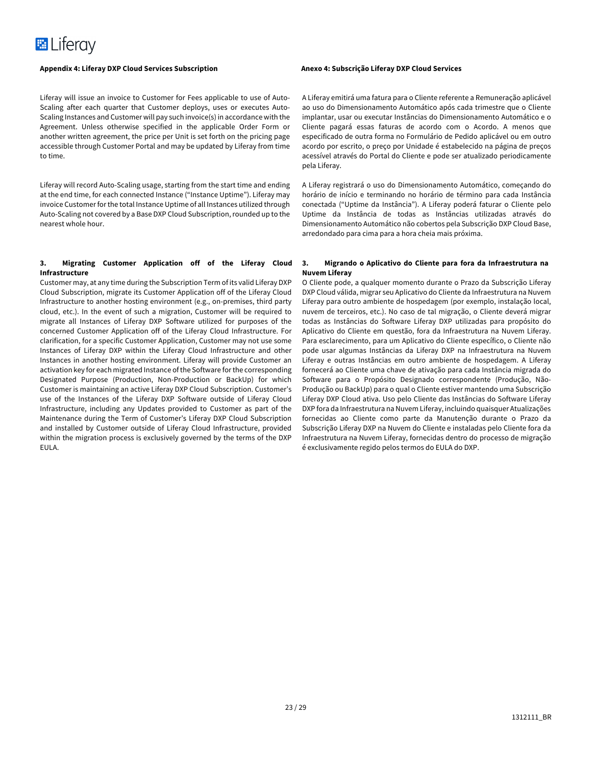Liferay will issue an invoice to Customer for Fees applicable to use of Auto-Scaling after each quarter that Customer deploys, uses or executes Auto-Scaling Instances and Customer will pay such invoice(s) in accordance with the Agreement. Unless otherwise specified in the applicable Order Form or another written agreement, the price per Unit is set forth on the pricing page accessible through Customer Portal and may be updated by Liferay from time to time.

Liferay will record Auto-Scaling usage, starting from the start time and ending at the end time, for each connected Instance ("Instance Uptime"). Liferay may invoice Customer for the total Instance Uptime of all Instances utilized through Auto-Scaling not covered by a Base DXP Cloud Subscription,rounded up to the nearest whole hour.

#### **3. Migrating Customer Application off of the Liferay Cloud Infrastructure**

Customer may, at any time during the Subscription Term of its valid Liferay DXP Cloud Subscription, migrate its Customer Application off of the Liferay Cloud Infrastructure to another hosting environment (e.g., on-premises, third party cloud, etc.). In the event of such a migration, Customer will be required to migrate all Instances of Liferay DXP Software utilized for purposes of the concerned Customer Application off of the Liferay Cloud Infrastructure. For clarification, for a specific Customer Application, Customer may not use some Instances of Liferay DXP within the Liferay Cloud Infrastructure and other Instances in another hosting environment. Liferay will provide Customer an activation key for each migrated Instance of the Software for the corresponding Designated Purpose (Production, Non-Production or BackUp) for which Customer is maintaining an active Liferay DXP Cloud Subscription. Customer's use of the Instances of the Liferay DXP Software outside of Liferay Cloud Infrastructure, including any Updates provided to Customer as part of the Maintenance during the Term of Customer's Liferay DXP Cloud Subscription and installed by Customer outside of Liferay Cloud Infrastructure, provided within the migration process is exclusively governed by the terms of the DXP EULA.

A Liferay emitirá uma fatura para o Cliente referente a Remuneração aplicável ao uso do Dimensionamento Automático após cada trimestre que o Cliente implantar, usar ou executar Instâncias do Dimensionamento Automático e o Cliente pagará essas faturas de acordo com o Acordo. A menos que especificado de outra forma no Formulário de Pedido aplicável ou em outro acordo por escrito, o preço por Unidade é estabelecido na página de preços acessível através do Portal do Cliente e pode ser atualizado periodicamente pela Liferay.

A Liferay registrará o uso do Dimensionamento Automático, começando do horário de início e terminando no horário de término para cada Instância conectada ("Uptime da Instância"). A Liferay poderá faturar o Cliente pelo Uptime da Instância de todas as Instâncias utilizadas através do Dimensionamento Automático não cobertos pela Subscrição DXP Cloud Base, arredondado para cima para a hora cheia mais próxima.

### **3. Migrando o Aplicativo do Cliente para fora da Infraestrutura na Nuvem Liferay**

O Cliente pode, a qualquer momento durante o Prazo da Subscrição Liferay DXP Cloud válida, migrar seu Aplicativo do Cliente da Infraestrutura na Nuvem Liferay para outro ambiente de hospedagem (por exemplo, instalação local, nuvem de terceiros, etc.). No caso de tal migração, o Cliente deverá migrar todas as Instâncias do Software Liferay DXP utilizadas para propósito do Aplicativo do Cliente em questão, fora da Infraestrutura na Nuvem Liferay. Para esclarecimento, para um Aplicativo do Cliente específico, o Cliente não pode usar algumas Instâncias da Liferay DXP na Infraestrutura na Nuvem Liferay e outras Instâncias em outro ambiente de hospedagem. A Liferay fornecerá ao Cliente uma chave de ativação para cada Instância migrada do Software para o Propósito Designado correspondente (Produção, Não-Produção ou BackUp) para o qual o Cliente estiver mantendo uma Subscrição Liferay DXP Cloud ativa. Uso pelo Cliente das Instâncias do Software Liferay DXP fora da Infraestrutura na Nuvem Liferay, incluindo quaisquer Atualizações fornecidas ao Cliente como parte da Manutenção durante o Prazo da Subscrição Liferay DXP na Nuvem do Cliente e instaladas pelo Cliente fora da Infraestrutura na Nuvem Liferay, fornecidas dentro do processo de migração é exclusivamente regido pelos termos do EULA do DXP.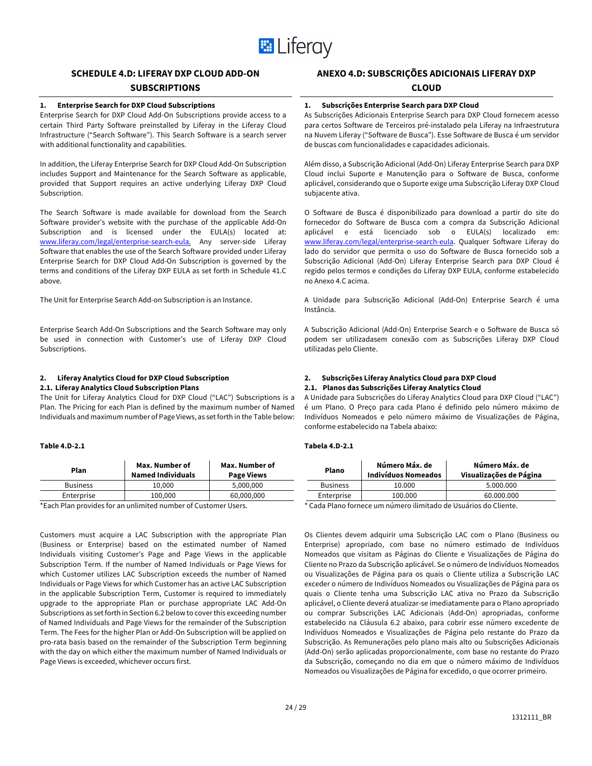

# **SCHEDULE 4.D: LIFERAY DXP CLOUD ADD-ON**

# **SUBSCRIPTIONS**

# **1. Enterprise Search for DXP Cloud Subscriptions**

Enterprise Search for DXP Cloud Add-On Subscriptions provide access to a certain Third Party Software preinstalled by Liferay in the Liferay Cloud Infrastructure ("Search Software"). This Search Software is a search server with additional functionality and capabilities.

In addition, the Liferay Enterprise Search for DXP Cloud Add-On Subscription includes Support and Maintenance for the Search Software as applicable, provided that Support requires an active underlying Liferay DXP Cloud Subscription.

The Search Software is made available for download from the Search Software provider's website with the purchase of the applicable Add-On Subscription and is licensed under the EULA(s) located at: www.liferay.com/legal/enterprise-search-eula. Any server-side Liferay Software that enables the use of the Search Software provided under Liferay Enterprise Search for DXP Cloud Add-On Subscription is governed by the terms and conditions of the Liferay DXP EULA as set forth in Schedule 41.C above.

The Unit for Enterprise Search Add-on Subscription is an Instance.

Enterprise Search Add-On Subscriptions and the Search Software may only be used in connection with Customer's use of Liferay DXP Cloud Subscriptions.

### **2. Liferay Analytics Cloud for DXP Cloud Subscription**

### **2.1. Liferay Analytics Cloud Subscription Plans**

The Unit for Liferay Analytics Cloud for DXP Cloud ("LAC") Subscriptions is a Plan. The Pricing for each Plan is defined by the maximum number of Named Individuals and maximum number of Page Views, as set forth in the Table below:

#### **Table 4.D-2.1**

| Plan            | Max. Number of<br><b>Named Individuals</b> | Max. Number of<br><b>Page Views</b> |
|-----------------|--------------------------------------------|-------------------------------------|
| <b>Business</b> | 10.000                                     | 5,000,000                           |
| Enterprise      | 100,000                                    | 60,000,000                          |
|                 |                                            |                                     |

\*Each Plan provides for an unlimited number of Customer Users.

Customers must acquire a LAC Subscription with the appropriate Plan (Business or Enterprise) based on the estimated number of Named Individuals visiting Customer's Page and Page Views in the applicable Subscription Term. If the number of Named Individuals or Page Views for which Customer utilizes LAC Subscription exceeds the number of Named Individuals or Page Views for which Customer has an active LAC Subscription in the applicable Subscription Term, Customer is required to immediately upgrade to the appropriate Plan or purchase appropriate LAC Add-On Subscriptions as set forth in Section 6.2 below to cover this exceeding number of Named Individuals and Page Views for the remainder of the Subscription Term. The Fees for the higher Plan or Add-On Subscription will be applied on pro-rata basis based on the remainder of the Subscription Term beginning with the day on which either the maximum number of Named Individuals or Page Views is exceeded, whichever occurs first.

# **ANEXO 4.D: SUBSCRIÇÕES ADICIONAIS LIFERAY DXP**

### **CLOUD**

# **1. Subscrições Enterprise Search para DXP Cloud**

As Subscrições Adicionais Enterprise Search para DXP Cloud fornecem acesso para certos Software de Terceiros pré-instalado pela Liferay na Infraestrutura na Nuvem Liferay ("Software de Busca"). Esse Software de Busca é um servidor de buscas com funcionalidades e capacidades adicionais.

Além disso, a Subscrição Adicional (Add-On) Liferay Enterprise Search para DXP Cloud inclui Suporte e Manutenção para o Software de Busca, conforme aplicável, considerando que o Suporte exige uma Subscrição Liferay DXP Cloud subjacente ativa.

O Software de Busca é disponibilizado para download a partir do site do fornecedor do Software de Busca com a compra da Subscrição Adicional aplicável e está licenciado sob o EULA(s) localizado em: www.liferay.com/legal/enterprise-search-eula</u>. Qualquer Software Liferay do lado do servidor que permita o uso do Software de Busca fornecido sob a Subscrição Adicional (Add-On) Liferay Enterprise Search para DXP Cloud é regido pelos termos e condições do Liferay DXP EULA, conforme estabelecido no Anexo 4.C acima.

A Unidade para Subscrição Adicional (Add-On) Enterprise Search é uma Instância.

A Subscrição Adicional (Add-On) Enterprise Search e o Software de Busca só podem ser utilizadasem conexão com as Subscrições Liferay DXP Cloud utilizadas pelo Cliente.

# **2. Subscrições Liferay Analytics Cloud para DXP Cloud**

# **2.1. Planos das Subscrições Liferay Analytics Cloud**

A Unidade para Subscrições do Liferay Analytics Cloud para DXP Cloud ("LAC") é um Plano. O Preço para cada Plano é definido pelo número máximo de Indivíduos Nomeados e pelo número máximo de Visualizações de Página, conforme estabelecido na Tabela abaixo:

### **Tabela 4.D-2.1**

| Plano                                                            | Número Máx. de<br><b>Indivíduos Nomeados</b> | Número Máx. de<br>Visualizações de Página |
|------------------------------------------------------------------|----------------------------------------------|-------------------------------------------|
| <b>Business</b>                                                  | 10.000                                       | 5.000.000                                 |
| Enterprise                                                       | 100.000                                      | 60.000.000                                |
| * Cada Plano fornece um número ilimitado de Usuários do Cliente. |                                              |                                           |

Os Clientes devem adquirir uma Subscrição LAC com o Plano (Business ou Enterprise) apropriado, com base no número estimado de Indivíduos Nomeados que visitam as Páginas do Cliente e Visualizações de Página do Cliente no Prazo da Subscrição aplicável. Se o número de Indivíduos Nomeados ou Visualizações de Página para os quais o Cliente utiliza a Subscrição LAC exceder o número de Indivíduos Nomeados ou Visualizações de Página para os quais o Cliente tenha uma Subscrição LAC ativa no Prazo da Subscrição aplicável, o Cliente deverá atualizar-se imediatamente para o Plano apropriado ou comprar Subscrições LAC Adicionais (Add-On) apropriadas, conforme estabelecido na Cláusula 6.2 abaixo, para cobrir esse número excedente de Indivíduos Nomeados e Visualizações de Página pelo restante do Prazo da Subscrição. As Remunerações pelo plano mais alto ou Subscrições Adicionais (Add-On) serão aplicadas proporcionalmente, com base no restante do Prazo da Subscrição, começando no dia em que o número máximo de Indivíduos Nomeados ou Visualizações de Página for excedido, o que ocorrer primeiro.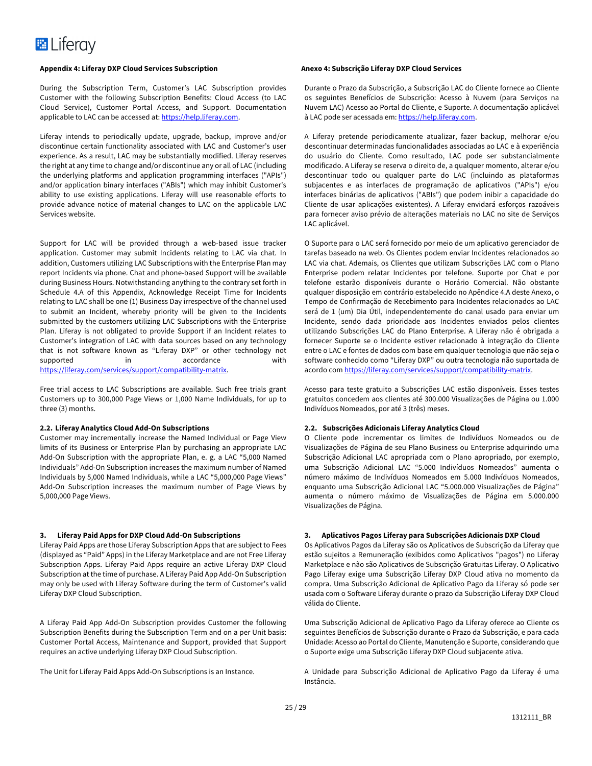During the Subscription Term, Customer's LAC Subscription provides Customer with the following Subscription Benefits: Cloud Access (to LAC Cloud Service), Customer Portal Access, and Support. Documentation applicable to LAC can be accessed at: https://help.liferay.com.

Liferay intends to periodically update, upgrade, backup, improve and/or discontinue certain functionality associated with LAC and Customer's user experience. As a result, LAC may be substantially modified. Liferay reserves the right at any time to change and/or discontinue any or all of LAC (including the underlying platforms and application programming interfaces ("APIs") and/or application binary interfaces ("ABIs") which may inhibit Customer's ability to use existing applications. Liferay will use reasonable efforts to provide advance notice of material changes to LAC on the applicable LAC Services website.

Support for LAC will be provided through a web-based issue tracker application. Customer may submit Incidents relating to LAC via chat. In addition, Customers utilizing LAC Subscriptions with the Enterprise Plan may report Incidents via phone. Chat and phone-based Support will be available during Business Hours. Notwithstanding anything to the contrary set forth in Schedule 4.A of this Appendix, Acknowledge Receipt Time for Incidents relating to LAC shall be one (1) Business Day irrespective of the channel used to submit an Incident, whereby priority will be given to the Incidents submitted by the customers utilizing LAC Subscriptions with the Enterprise Plan. Liferay is not obligated to provide Support if an Incident relates to Customer's integration of LAC with data sources based on any technology that is not software known as "Liferay DXP" or other technology not supported in accordance with https://liferay.com/services/support/compatibility-matrix.

Free trial access to LAC Subscriptions are available. Such free trials grant Customers up to 300,000 Page Views or 1,000 Name Individuals, for up to three (3) months.

#### **2.2. Liferay Analytics Cloud Add-On Subscriptions**

Customer may incrementally increase the Named Individual or Page View limits of its Business or Enterprise Plan by purchasing an appropriate LAC Add-On Subscription with the appropriate Plan, e. g. a LAC "5,000 Named Individuals" Add-On Subscription increases the maximum number of Named Individuals by 5,000 Named Individuals, while a LAC "5,000,000 Page Views" Add-On Subscription increases the maximum number of Page Views by 5,000,000 Page Views.

#### **3. Liferay Paid Apps for DXP Cloud Add-On Subscriptions**

Liferay Paid Apps are those Liferay Subscription Apps that are subject to Fees (displayed as "Paid" Apps) in the Liferay Marketplace and are not Free Liferay Subscription Apps. Liferay Paid Apps require an active Liferay DXP Cloud Subscription at the time of purchase. A Liferay Paid App Add-On Subscription may only be used with Liferay Software during the term of Customer's valid Liferay DXP Cloud Subscription.

A Liferay Paid App Add-On Subscription provides Customer the following Subscription Benefits during the Subscription Term and on a per Unit basis: Customer Portal Access, Maintenance and Support, provided that Support requires an active underlying Liferay DXP Cloud Subscription.

The Unit for Liferay Paid Apps Add-On Subscriptions is an Instance.

Durante o Prazo da Subscrição, a Subscrição LAC do Cliente fornece ao Cliente os seguintes Benefícios de Subscrição: Acesso à Nuvem (para Serviços na Nuvem LAC) Acesso ao Portal do Cliente, e Suporte. A documentação aplicável à LAC pode ser acessada em: https://help.liferay.com.

A Liferay pretende periodicamente atualizar, fazer backup, melhorar e/ou descontinuar determinadas funcionalidades associadas ao LAC e à experiência do usuário do Cliente. Como resultado, LAC pode ser substancialmente modificado. A Liferay se reserva o direito de, a qualquer momento, alterar e/ou descontinuar todo ou qualquer parte do LAC (incluindo as plataformas subjacentes e as interfaces de programação de aplicativos ("APIs") e/ou interfaces binárias de aplicativos ("ABIs") que podem inibir a capacidade do Cliente de usar aplicações existentes). A Liferay envidará esforços razoáveis para fornecer aviso prévio de alterações materiais no LAC no site de Serviços LAC aplicável.

O Suporte para o LAC será fornecido por meio de um aplicativo gerenciador de tarefas baseado na web. Os Clientes podem enviar Incidentes relacionados ao LAC via chat. Ademais, os Clientes que utilizam Subscrições LAC com o Plano Enterprise podem relatar Incidentes por telefone. Suporte por Chat e por telefone estarão disponíveis durante o Horário Comercial. Não obstante qualquer disposição em contrário estabelecido no Apêndice 4.A deste Anexo, o Tempo de Confirmação de Recebimento para Incidentes relacionados ao LAC será de 1 (um) Dia Útil, independentemente do canal usado para enviar um Incidente, sendo dada prioridade aos Incidentes enviados pelos clientes utilizando Subscrições LAC do Plano Enterprise. A Liferay não é obrigada a fornecer Suporte se o Incidente estiver relacionado à integração do Cliente entre o LAC e fontes de dados com base em qualquer tecnologia que não seja o software conhecido como "Liferay DXP" ou outra tecnologia não suportada de acordo com https://liferay.com/services/support/compatibility-matrix.

Acesso para teste gratuito a Subscrições LAC estão disponíveis. Esses testes gratuitos concedem aos clientes até 300.000 Visualizações de Página ou 1.000 Indivíduos Nomeados, por até 3 (três) meses.

#### **2.2. Subscrições Adicionais Liferay Analytics Cloud**

O Cliente pode incrementar os limites de Indivíduos Nomeados ou de Visualizações de Página de seu Plano Business ou Enterprise adquirindo uma Subscrição Adicional LAC apropriada com o Plano apropriado, por exemplo, uma Subscrição Adicional LAC "5.000 Indivíduos Nomeados" aumenta o número máximo de Indivíduos Nomeados em 5.000 Indivíduos Nomeados, enquanto uma Subscrição Adicional LAC "5.000.000 Visualizações de Página" aumenta o número máximo de Visualizações de Página em 5.000.000 Visualizações de Página.

#### **3. Aplicativos Pagos Liferay para Subscrições Adicionais DXP Cloud**

Os Aplicativos Pagos da Liferay são os Aplicativos de Subscrição da Liferay que estão sujeitos a Remuneração (exibidos como Aplicativos "pagos") no Liferay Marketplace e não são Aplicativos de Subscrição Gratuitas Liferay. O Aplicativo Pago Liferay exige uma Subscrição Liferay DXP Cloud ativa no momento da compra. Uma Subscrição Adicional de Aplicativo Pago da Liferay só pode ser usada com o Software Liferay durante o prazo da Subscrição Liferay DXP Cloud válida do Cliente.

Uma Subscrição Adicional de Aplicativo Pago da Liferay oferece ao Cliente os seguintes Benefícios de Subscrição durante o Prazo da Subscrição, e para cada Unidade: Acesso ao Portal do Cliente, Manutenção e Suporte, considerando que o Suporte exige uma Subscrição Liferay DXP Cloud subjacente ativa.

A Unidade para Subscrição Adicional de Aplicativo Pago da Liferay é uma Instância.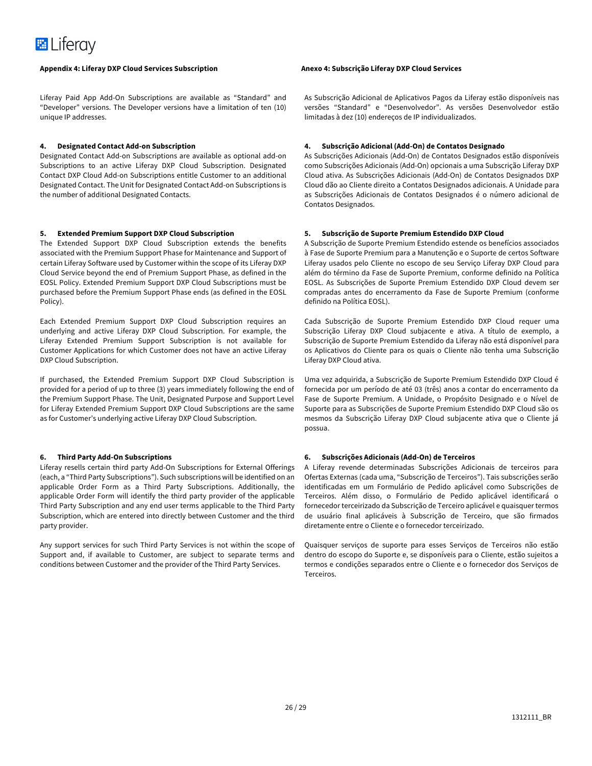Liferay Paid App Add-On Subscriptions are available as "Standard" and "Developer" versions. The Developer versions have a limitation of ten (10) unique IP addresses.

#### **4. Designated Contact Add-on Subscription**

Designated Contact Add-on Subscriptions are available as optional add-on Subscriptions to an active Liferay DXP Cloud Subscription. Designated Contact DXP Cloud Add-on Subscriptions entitle Customer to an additional Designated Contact. The Unit for Designated Contact Add-on Subscriptions is the number of additional Designated Contacts.

#### **5. Extended Premium Support DXP Cloud Subscription**

The Extended Support DXP Cloud Subscription extends the benefits associated with the Premium Support Phase for Maintenance and Support of certain Liferay Software used by Customer within the scope of its Liferay DXP Cloud Service beyond the end of Premium Support Phase, as defined in the EOSL Policy. Extended Premium Support DXP Cloud Subscriptions must be purchased before the Premium Support Phase ends (as defined in the EOSL Policy).

Each Extended Premium Support DXP Cloud Subscription requires an underlying and active Liferay DXP Cloud Subscription. For example, the Liferay Extended Premium Support Subscription is not available for Customer Applications for which Customer does not have an active Liferay DXP Cloud Subscription.

If purchased, the Extended Premium Support DXP Cloud Subscription is provided for a period of up to three (3) years immediately following the end of the Premium Support Phase. The Unit, Designated Purpose and Support Level for Liferay Extended Premium Support DXP Cloud Subscriptions are the same as for Customer's underlying active Liferay DXP Cloud Subscription.

#### **6. Third Party Add-On Subscriptions**

Liferay resells certain third party Add-On Subscriptions for External Offerings (each, a "Third Party Subscriptions"). Such subscriptions will be identified on an applicable Order Form as a Third Party Subscriptions. Additionally, the applicable Order Form will identify the third party provider of the applicable Third Party Subscription and any end user terms applicable to the Third Party Subscription, which are entered into directly between Customer and the third party provider.

Any support services for such Third Party Services is not within the scope of Support and, if available to Customer, are subject to separate terms and conditions between Customer and the provider of the Third Party Services.

As Subscrição Adicional de Aplicativos Pagos da Liferay estão disponíveis nas versões "Standard" e "Desenvolvedor". As versões Desenvolvedor estão limitadas à dez (10) endereços de IP individualizados.

#### **4. Subscrição Adicional (Add-On) de Contatos Designado**

As Subscrições Adicionais (Add-On) de Contatos Designados estão disponíveis como Subscrições Adicionais (Add-On) opcionais a uma Subscrição Liferay DXP Cloud ativa. As Subscrições Adicionais (Add-On) de Contatos Designados DXP Cloud dão ao Cliente direito a Contatos Designados adicionais. A Unidade para as Subscrições Adicionais de Contatos Designados é o número adicional de Contatos Designados.

#### **5. Subscrição de Suporte Premium Estendido DXP Cloud**

A Subscrição de Suporte Premium Estendido estende os benefícios associados à Fase de Suporte Premium para a Manutenção e o Suporte de certos Software Liferay usados pelo Cliente no escopo de seu Serviço Liferay DXP Cloud para além do término da Fase de Suporte Premium, conforme definido na Política EOSL. As Subscrições de Suporte Premium Estendido DXP Cloud devem ser compradas antes do encerramento da Fase de Suporte Premium (conforme definido na Política EOSL).

Cada Subscrição de Suporte Premium Estendido DXP Cloud requer uma Subscrição Liferay DXP Cloud subjacente e ativa. A título de exemplo, a Subscrição de Suporte Premium Estendido da Liferay não está disponível para os Aplicativos do Cliente para os quais o Cliente não tenha uma Subscrição Liferay DXP Cloud ativa.

Uma vez adquirida, a Subscrição de Suporte Premium Estendido DXP Cloud é fornecida por um período de até 03 (três) anos a contar do encerramento da Fase de Suporte Premium. A Unidade, o Propósito Designado e o Nível de Suporte para as Subscrições de Suporte Premium Estendido DXP Cloud são os mesmos da Subscrição Liferay DXP Cloud subjacente ativa que o Cliente já possua.

#### **6. Subscrições Adicionais (Add-On) de Terceiros**

A Liferay revende determinadas Subscrições Adicionais de terceiros para Ofertas Externas (cada uma, "Subscrição de Terceiros"). Tais subscrições serão identificadas em um Formulário de Pedido aplicável como Subscrições de Terceiros. Além disso, o Formulário de Pedido aplicável identificará o fornecedor terceirizado da Subscrição de Terceiro aplicável e quaisquer termos de usuário final aplicáveis à Subscrição de Terceiro, que são firmados diretamente entre o Cliente e o fornecedor terceirizado.

Quaisquer serviços de suporte para esses Serviços de Terceiros não estão dentro do escopo do Suporte e, se disponíveis para o Cliente, estão sujeitos a termos e condições separados entre o Cliente e o fornecedor dos Serviços de Terceiros.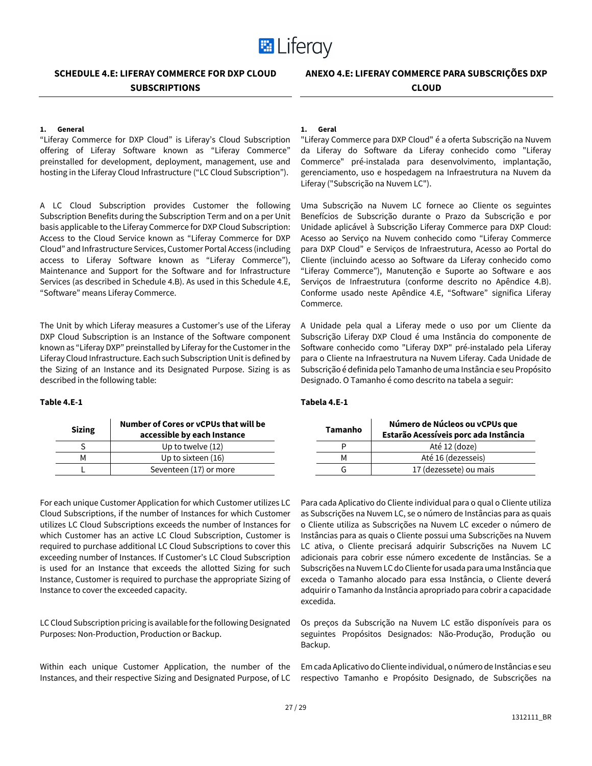

# **SCHEDULE 4.E: LIFERAY COMMERCE FOR DXP CLOUD SUBSCRIPTIONS**

# **1. General**

"Liferay Commerce for DXP Cloud" is Liferay's Cloud Subscription offering of Liferay Software known as "Liferay Commerce" preinstalled for development, deployment, management, use and hosting in the Liferay Cloud Infrastructure ("LC Cloud Subscription").

A LC Cloud Subscription provides Customer the following Subscription Benefits during the Subscription Term and on a per Unit basis applicable to the Liferay Commerce for DXP Cloud Subscription: Access to the Cloud Service known as "Liferay Commerce for DXP Cloud" and Infrastructure Services, Customer Portal Access (including access to Liferay Software known as "Liferay Commerce"), Maintenance and Support for the Software and for Infrastructure Services (as described in Schedule 4.B). As used in this Schedule 4.E, "Software" means Liferay Commerce.

The Unit by which Liferay measures a Customer's use of the Liferay DXP Cloud Subscription is an Instance of the Software component known as "Liferay DXP" preinstalled by Liferay for the Customer in the Liferay Cloud Infrastructure. Each such Subscription Unit is defined by the Sizing of an Instance and its Designated Purpose. Sizing is as described in the following table:

# **Table 4.E-1**

| <b>Sizing</b> | Number of Cores or yCPUs that will be<br>accessible by each Instance |
|---------------|----------------------------------------------------------------------|
|               | Up to twelve $(12)$                                                  |
| м             | Up to sixteen (16)                                                   |
|               | Seventeen (17) or more                                               |

For each unique Customer Application for which Customer utilizes LC Cloud Subscriptions, if the number of Instances for which Customer utilizes LC Cloud Subscriptions exceeds the number of Instances for which Customer has an active LC Cloud Subscription, Customer is required to purchase additional LC Cloud Subscriptions to cover this exceeding number of Instances. If Customer's LC Cloud Subscription is used for an Instance that exceeds the allotted Sizing for such Instance, Customer is required to purchase the appropriate Sizing of Instance to cover the exceeded capacity.

LC Cloud Subscription pricing is available for the following Designated Purposes: Non-Production, Production or Backup.

Within each unique Customer Application, the number of the Instances, and their respective Sizing and Designated Purpose, of LC

#### **1. Geral**

"Liferay Commerce para DXP Cloud" é a oferta Subscrição na Nuvem da Liferay do Software da Liferay conhecido como "Liferay Commerce" pré-instalada para desenvolvimento, implantação, gerenciamento, uso e hospedagem na Infraestrutura na Nuvem da Liferay ("Subscrição na Nuvem LC").

Uma Subscrição na Nuvem LC fornece ao Cliente os seguintes Benefícios de Subscrição durante o Prazo da Subscrição e por Unidade aplicável à Subscrição Liferay Commerce para DXP Cloud: Acesso ao Serviço na Nuvem conhecido como "Liferay Commerce para DXP Cloud" e Serviços de Infraestrutura, Acesso ao Portal do Cliente (incluindo acesso ao Software da Liferay conhecido como "Liferay Commerce"), Manutenção e Suporte ao Software e aos Serviços de Infraestrutura (conforme descrito no Apêndice 4.B). Conforme usado neste Apêndice 4.E, "Software" significa Liferay Commerce.

A Unidade pela qual a Liferay mede o uso por um Cliente da Subscrição Liferay DXP Cloud é uma Instância do componente de Software conhecido como "Liferay DXP" pré-instalado pela Liferay para o Cliente na Infraestrutura na Nuvem Liferay. Cada Unidade de Subscrição é definida pelo Tamanho de uma Instância e seu Propósito Designado. O Tamanho é como descrito na tabela a seguir:

# **Tabela 4.E-1**

| <b>Tamanho</b> | Número de Núcleos ou vCPUs que<br>Estarão Acessíveis porc ada Instância |
|----------------|-------------------------------------------------------------------------|
|                | Até 12 (doze)                                                           |
| м              | Até 16 (dezesseis)                                                      |
|                | 17 (dezessete) ou mais                                                  |

Para cada Aplicativo do Cliente individual para o qual o Cliente utiliza as Subscrições na Nuvem LC, se o número de Instâncias para as quais o Cliente utiliza as Subscrições na Nuvem LC exceder o número de Instâncias para as quais o Cliente possui uma Subscrições na Nuvem LC ativa, o Cliente precisará adquirir Subscrições na Nuvem LC adicionais para cobrir esse número excedente de Instâncias. Se a Subscrições na Nuvem LC do Cliente for usada para uma Instância que exceda o Tamanho alocado para essa Instância, o Cliente deverá adquirir o Tamanho da Instância apropriado para cobrir a capacidade excedida.

Os preços da Subscrição na Nuvem LC estão disponíveis para os seguintes Propósitos Designados: Não-Produção, Produção ou Backup.

Em cada Aplicativo do Cliente individual, o número de Instâncias e seu respectivo Tamanho e Propósito Designado, de Subscrições na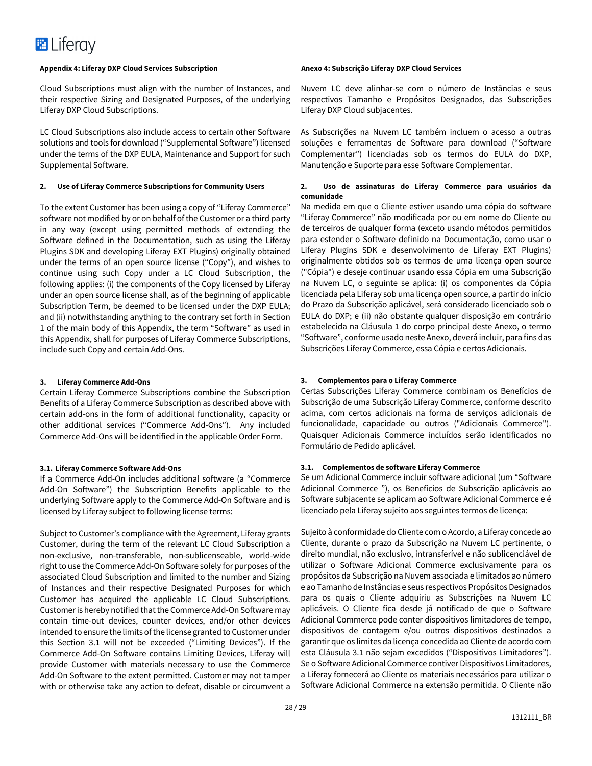Cloud Subscriptions must align with the number of Instances, and their respective Sizing and Designated Purposes, of the underlying Liferay DXP Cloud Subscriptions.

LC Cloud Subscriptions also include access to certain other Software solutions and tools for download ("Supplemental Software") licensed under the terms of the DXP EULA, Maintenance and Support for such Supplemental Software.

#### **2. Use of Liferay Commerce Subscriptions for Community Users**

To the extent Customer has been using a copy of "Liferay Commerce" software not modified by or on behalf of the Customer or a third party in any way (except using permitted methods of extending the Software defined in the Documentation, such as using the Liferay Plugins SDK and developing Liferay EXT Plugins) originally obtained under the terms of an open source license ("Copy"), and wishes to continue using such Copy under a LC Cloud Subscription, the following applies: (i) the components of the Copy licensed by Liferay under an open source license shall, as of the beginning of applicable Subscription Term, be deemed to be licensed under the DXP EULA; and (ii) notwithstanding anything to the contrary set forth in Section 1 of the main body of this Appendix, the term "Software" as used in this Appendix, shall for purposes of Liferay Commerce Subscriptions, include such Copy and certain Add-Ons.

#### **3. Liferay Commerce Add-Ons**

Certain Liferay Commerce Subscriptions combine the Subscription Benefits of a Liferay Commerce Subscription as described above with certain add-ons in the form of additional functionality, capacity or other additional services ("Commerce Add-Ons"). Any included Commerce Add-Ons will be identified in the applicable Order Form.

# **3.1. Liferay Commerce Software Add-Ons**

If a Commerce Add-On includes additional software (a "Commerce Add-On Software") the Subscription Benefits applicable to the underlying Software apply to the Commerce Add-On Software and is licensed by Liferay subject to following license terms:

Subject to Customer's compliance with the Agreement, Liferay grants Customer, during the term of the relevant LC Cloud Subscription a non-exclusive, non-transferable, non-sublicenseable, world-wide right to use the Commerce Add-On Software solely for purposes of the associated Cloud Subscription and limited to the number and Sizing of Instances and their respective Designated Purposes for which Customer has acquired the applicable LC Cloud Subscriptions. Customer is hereby notified that the Commerce Add-On Software may contain time-out devices, counter devices, and/or other devices intended to ensure the limits of the license granted to Customer under this Section 3.1 will not be exceeded ("Limiting Devices"). If the Commerce Add-On Software contains Limiting Devices, Liferay will provide Customer with materials necessary to use the Commerce Add-On Software to the extent permitted. Customer may not tamper with or otherwise take any action to defeat, disable or circumvent a

Nuvem LC deve alinhar-se com o número de Instâncias e seus respectivos Tamanho e Propósitos Designados, das Subscrições Liferay DXP Cloud subjacentes.

As Subscrições na Nuvem LC também incluem o acesso a outras soluções e ferramentas de Software para download ("Software Complementar") licenciadas sob os termos do EULA do DXP, Manutenção e Suporte para esse Software Complementar.

### **2. Uso de assinaturas do Liferay Commerce para usuários da comunidade**

Na medida em que o Cliente estiver usando uma cópia do software "Liferay Commerce" não modificada por ou em nome do Cliente ou de terceiros de qualquer forma (exceto usando métodos permitidos para estender o Software definido na Documentação, como usar o Liferay Plugins SDK e desenvolvimento de Liferay EXT Plugins) originalmente obtidos sob os termos de uma licença open source ("Cópia") e deseje continuar usando essa Cópia em uma Subscrição na Nuvem LC, o seguinte se aplica: (i) os componentes da Cópia licenciada pela Liferay sob uma licença open source, a partir do início do Prazo da Subscrição aplicável, será considerado licenciado sob o EULA do DXP; e (ii) não obstante qualquer disposição em contrário estabelecida na Cláusula 1 do corpo principal deste Anexo, o termo "Software", conforme usado neste Anexo, deverá incluir, para fins das Subscrições Liferay Commerce, essa Cópia e certos Adicionais.

#### **3. Complementos para o Liferay Commerce**

Certas Subscrições Liferay Commerce combinam os Benefícios de Subscrição de uma Subscrição Liferay Commerce, conforme descrito acima, com certos adicionais na forma de serviços adicionais de funcionalidade, capacidade ou outros ("Adicionais Commerce"). Quaisquer Adicionais Commerce incluídos serão identificados no Formulário de Pedido aplicável.

## **3.1. Complementos de software Liferay Commerce**

Se um Adicional Commerce incluir software adicional (um "Software Adicional Commerce "), os Benefícios de Subscrição aplicáveis ao Software subjacente se aplicam ao Software Adicional Commerce e é licenciado pela Liferay sujeito aos seguintes termos de licença:

Sujeito à conformidade do Cliente com o Acordo, a Liferay concede ao Cliente, durante o prazo da Subscrição na Nuvem LC pertinente, o direito mundial, não exclusivo, intransferível e não sublicenciável de utilizar o Software Adicional Commerce exclusivamente para os propósitos da Subscrição na Nuvem associada e limitados ao número e ao Tamanho de Instâncias e seus respectivos Propósitos Designados para os quais o Cliente adquiriu as Subscrições na Nuvem LC aplicáveis. O Cliente fica desde já notificado de que o Software Adicional Commerce pode conter dispositivos limitadores de tempo, dispositivos de contagem e/ou outros dispositivos destinados a garantir que os limites da licença concedida ao Cliente de acordo com esta Cláusula 3.1 não sejam excedidos ("Dispositivos Limitadores"). Se o Software Adicional Commerce contiver Dispositivos Limitadores, a Liferay fornecerá ao Cliente os materiais necessários para utilizar o Software Adicional Commerce na extensão permitida. O Cliente não